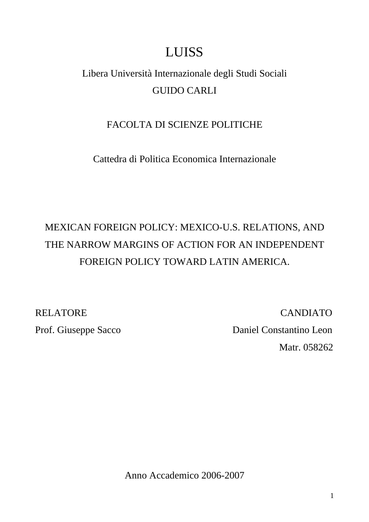# LUISS

# Libera Università Internazionale degli Studi Sociali GUIDO CARLI

### FACOLTA DI SCIENZE POLITICHE

Cattedra di Politica Economica Internazionale

# MEXICAN FOREIGN POLICY: MEXICO-U.S. RELATIONS, AND THE NARROW MARGINS OF ACTION FOR AN INDEPENDENT FOREIGN POLICY TOWARD LATIN AMERICA.

RELATORE CANDIATO Prof. Giuseppe Sacco Daniel Constantino Leon Matr. 058262

Anno Accademico 2006-2007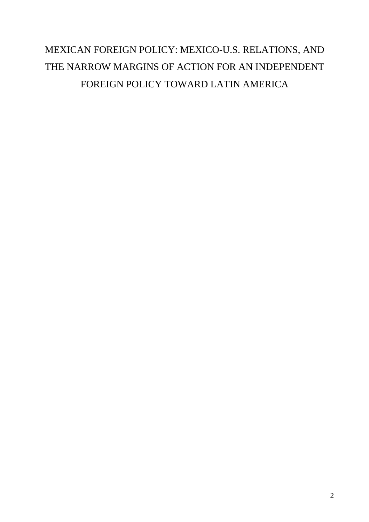# MEXICAN FOREIGN POLICY: MEXICO-U.S. RELATIONS, AND THE NARROW MARGINS OF ACTION FOR AN INDEPENDENT FOREIGN POLICY TOWARD LATIN AMERICA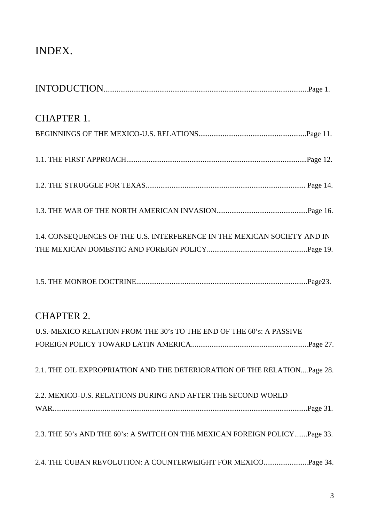## INDEX.

| <b>CHAPTER 1.</b>                                                          |
|----------------------------------------------------------------------------|
|                                                                            |
|                                                                            |
|                                                                            |
|                                                                            |
| 1.4. CONSEQUENCES OF THE U.S. INTERFERENCE IN THE MEXICAN SOCIETY AND IN   |
|                                                                            |
|                                                                            |
| <b>CHAPTER 2.</b>                                                          |
| U.S.-MEXICO RELATION FROM THE 30's TO THE END OF THE 60's: A PASSIVE       |
|                                                                            |
| 2.1. THE OIL EXPROPRIATION AND THE DETERIORATION OF THE RELATIONPage 28.   |
| 2.2. MEXICO-U.S. RELATIONS DURING AND AFTER THE SECOND WORLD               |
|                                                                            |
| 2.3. THE 50's AND THE 60's: A SWITCH ON THE MEXICAN FOREIGN POLICYPage 33. |
|                                                                            |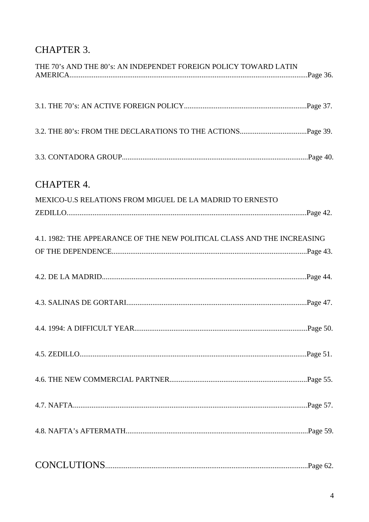### CHAPTER 3.

| THE 70's AND THE 80's: AN INDEPENDET FOREIGN POLICY TOWARD LATIN        |  |
|-------------------------------------------------------------------------|--|
|                                                                         |  |
|                                                                         |  |
|                                                                         |  |
| <b>CHAPTER 4.</b>                                                       |  |
| MEXICO-U.S RELATIONS FROM MIGUEL DE LA MADRID TO ERNESTO                |  |
|                                                                         |  |
| 4.1. 1982: THE APPEARANCE OF THE NEW POLITICAL CLASS AND THE INCREASING |  |
|                                                                         |  |
|                                                                         |  |
|                                                                         |  |
|                                                                         |  |
|                                                                         |  |
|                                                                         |  |
|                                                                         |  |
|                                                                         |  |
|                                                                         |  |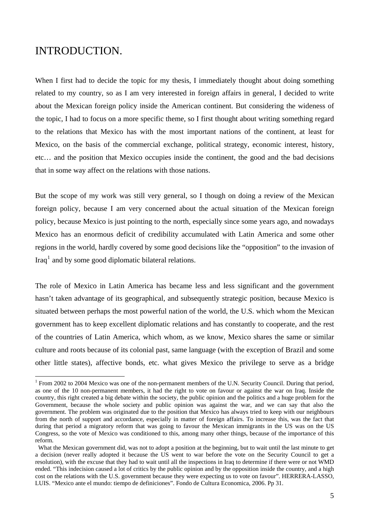### INTRODUCTION.

 $\overline{a}$ 

When I first had to decide the topic for my thesis, I immediately thought about doing something related to my country, so as I am very interested in foreign affairs in general, I decided to write about the Mexican foreign policy inside the American continent. But considering the wideness of the topic, I had to focus on a more specific theme, so I first thought about writing something regard to the relations that Mexico has with the most important nations of the continent, at least for Mexico, on the basis of the commercial exchange, political strategy, economic interest, history, etc… and the position that Mexico occupies inside the continent, the good and the bad decisions that in some way affect on the relations with those nations.

But the scope of my work was still very general, so I though on doing a review of the Mexican foreign policy, because I am very concerned about the actual situation of the Mexican foreign policy, because Mexico is just pointing to the north, especially since some years ago, and nowadays Mexico has an enormous deficit of credibility accumulated with Latin America and some other regions in the world, hardly covered by some good decisions like the "opposition" to the invasion of Iraq<sup>[1](#page-4-0)</sup> and by some good diplomatic bilateral relations.

The role of Mexico in Latin America has became less and less significant and the government hasn't taken advantage of its geographical, and subsequently strategic position, because Mexico is situated between perhaps the most powerful nation of the world, the U.S. which whom the Mexican government has to keep excellent diplomatic relations and has constantly to cooperate, and the rest of the countries of Latin America, which whom, as we know, Mexico shares the same or similar culture and roots because of its colonial past, same language (with the exception of Brazil and some other little states), affective bonds, etc. what gives Mexico the privilege to serve as a bridge

<span id="page-4-0"></span><sup>&</sup>lt;sup>1</sup> From 2002 to 2004 Mexico was one of the non-permanent members of the U.N. Security Council. During that period, as one of the 10 non-permanent members, it had the right to vote on favour or against the war on Iraq. Inside the country, this right created a big debate within the society, the public opinion and the politics and a huge problem for the Government, because the whole society and public opinion was against the war, and we can say that also the government. The problem was originated due to the position that Mexico has always tried to keep with our neighbours from the north of support and accordance, especially in matter of foreign affairs. To increase this, was the fact that during that period a migratory reform that was going to favour the Mexican immigrants in the US was on the US Congress, so the vote of Mexico was conditioned to this, among many other things, because of the importance of this reform.

What the Mexican government did, was not to adopt a position at the beginning, but to wait until the last minute to get a decision (never really adopted it because the US went to war before the vote on the Security Council to get a resolution), with the excuse that they had to wait until all the inspections in Iraq to determine if there were or not WMD ended. "This indecision caused a lot of critics by the public opinion and by the opposition inside the country, and a high cost on the relations with the U.S. government because they were expecting us to vote on favour". HERRERA-LASSO, LUIS. "Mexico ante el mundo: tiempo de definiciones". Fondo de Cultura Economica, 2006. Pp 31.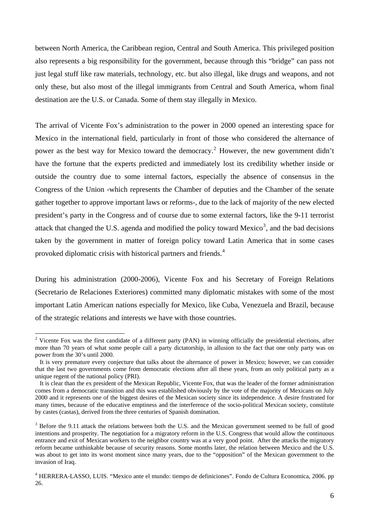between North America, the Caribbean region, Central and South America. This privileged position also represents a big responsibility for the government, because through this "bridge" can pass not just legal stuff like raw materials, technology, etc. but also illegal, like drugs and weapons, and not only these, but also most of the illegal immigrants from Central and South America, whom final destination are the U.S. or Canada. Some of them stay illegally in Mexico.

The arrival of Vicente Fox's administration to the power in 2000 opened an interesting space for Mexico in the international field, particularly in front of those who considered the alternance of power as the best way for Mexico toward the democracy.<sup>[2](#page-5-0)</sup> However, the new government didn't have the fortune that the experts predicted and immediately lost its credibility whether inside or outside the country due to some internal factors, especially the absence of consensus in the Congress of the Union -which represents the Chamber of deputies and the Chamber of the senate gather together to approve important laws or reforms-, due to the lack of majority of the new elected president's party in the Congress and of course due to some external factors, like the 9-11 terrorist attack that changed the U.S. agenda and modified the policy toward Mexico<sup>[3](#page-5-1)</sup>, and the bad decisions taken by the government in matter of foreign policy toward Latin America that in some cases provoked diplomatic crisis with historical partners and friends.<sup>[4](#page-5-2)</sup>

During his administration (2000-2006), Vicente Fox and his Secretary of Foreign Relations (Secretario de Relaciones Exteriores) committed many diplomatic mistakes with some of the most important Latin American nations especially for Mexico, like Cuba, Venezuela and Brazil, because of the strategic relations and interests we have with those countries.

<span id="page-5-0"></span><sup>&</sup>lt;sup>2</sup> Vicente Fox was the first candidate of a different party (PAN) in winning officially the presidential elections, after more than 70 years of what some people call a party dictatorship, in allusion to the fact that one only party was on power from the 30's until 2000.

It is very premature every conjecture that talks about the alternance of power in Mexico; however, we can consider that the last two governments come from democratic elections after all these years, from an only political party as a unique regent of the national policy (PRI).

It is clear than the ex president of the Mexican Republic, Vicente Fox, that was the leader of the former administration comes from a democratic transition and this was established obviously by the vote of the majority of Mexicans on July 2000 and it represents one of the biggest desires of the Mexican society since its independence. A desire frustrated for many times, because of the educative emptiness and the interference of the socio-political Mexican society, constitute by castes (castas), derived from the three centuries of Spanish domination.

<span id="page-5-1"></span> $3$  Before the 9.11 attack the relations between both the U.S. and the Mexican government seemed to be full of good intentions and prosperity. The negotiation for a migratory reform in the U.S. Congress that would allow the continuous entrance and exit of Mexican workers to the neighbor country was at a very good point. After the attacks the migratory reform became unthinkable because of security reasons. Some months later, the relation between Mexico and the U.S. was about to get into its worst moment since many years, due to the "opposition" of the Mexican government to the invasion of Iraq.

<span id="page-5-2"></span><sup>&</sup>lt;sup>4</sup> HERRERA-LASSO, LUIS. "Mexico ante el mundo: tiempo de definiciones". Fondo de Cultura Economica, 2006. pp 26.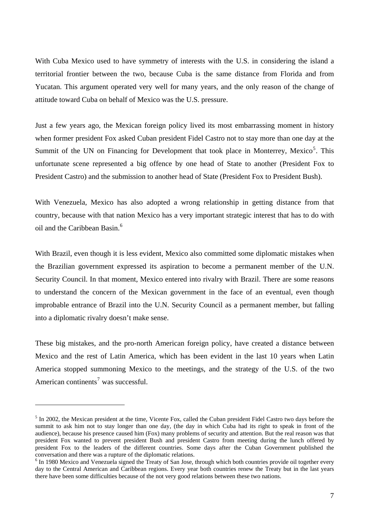With Cuba Mexico used to have symmetry of interests with the U.S. in considering the island a territorial frontier between the two, because Cuba is the same distance from Florida and from Yucatan. This argument operated very well for many years, and the only reason of the change of attitude toward Cuba on behalf of Mexico was the U.S. pressure.

Just a few years ago, the Mexican foreign policy lived its most embarrassing moment in history when former president Fox asked Cuban president Fidel Castro not to stay more than one day at the Summit of the UN on Financing for Development that took place in Monterrey, Mexico<sup>[5](#page-6-0)</sup>. This unfortunate scene represented a big offence by one head of State to another (President Fox to President Castro) and the submission to another head of State (President Fox to President Bush).

With Venezuela, Mexico has also adopted a wrong relationship in getting distance from that country, because with that nation Mexico has a very important strategic interest that has to do with oil and the Caribbean Basin.[6](#page-6-1)

With Brazil, even though it is less evident, Mexico also committed some diplomatic mistakes when the Brazilian government expressed its aspiration to become a permanent member of the U.N. Security Council. In that moment, Mexico entered into rivalry with Brazil. There are some reasons to understand the concern of the Mexican government in the face of an eventual, even though improbable entrance of Brazil into the U.N. Security Council as a permanent member, but falling into a diplomatic rivalry doesn't make sense.

These big mistakes, and the pro-north American foreign policy, have created a distance between Mexico and the rest of Latin America, which has been evident in the last 10 years when Latin America stopped summoning Mexico to the meetings, and the strategy of the U.S. of the two American continents<sup>[7](#page-6-2)</sup> was successful.

<span id="page-6-0"></span><sup>&</sup>lt;sup>5</sup> In 2002, the Mexican president at the time, Vicente Fox, called the Cuban president Fidel Castro two days before the summit to ask him not to stay longer than one day, (the day in which Cuba had its right to speak in front of the audience), because his presence caused him (Fox) many problems of security and attention. But the real reason was that president Fox wanted to prevent president Bush and president Castro from meeting during the lunch offered by president Fox to the leaders of the different countries. Some days after the Cuban Government published the conversation and there was a rupture of the diplomatic relations.

<span id="page-6-2"></span><span id="page-6-1"></span><sup>&</sup>lt;sup>6</sup> In 1980 Mexico and Venezuela signed the Treaty of San Jose, through which both countries provide oil together every day to the Central American and Caribbean regions. Every year both countries renew the Treaty but in the last years there have been some difficulties because of the not very good relations between these two nations.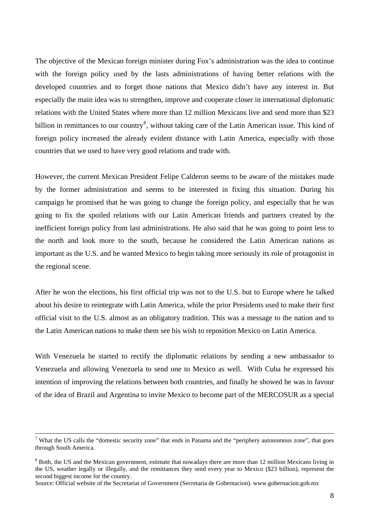The objective of the Mexican foreign minister during Fox's administration was the idea to continue with the foreign policy used by the lasts administrations of having better relations with the developed countries and to forget those nations that Mexico didn't have any interest in. But especially the main idea was to strengthen, improve and cooperate closer in international diplomatic relations with the United States where more than 12 million Mexicans live and send more than \$23 billion in remittances to our country<sup>[8](#page-7-0)</sup>, without taking care of the Latin American issue. This kind of foreign policy increased the already evident distance with Latin America, especially with those countries that we used to have very good relations and trade with.

However, the current Mexican President Felipe Calderon seems to be aware of the mistakes made by the former administration and seems to be interested in fixing this situation. During his campaign he promised that he was going to change the foreign policy, and especially that he was going to fix the spoiled relations with our Latin American friends and partners created by the inefficient foreign policy from last administrations. He also said that he was going to point less to the north and look more to the south, because he considered the Latin American nations as important as the U.S. and he wanted Mexico to begin taking more seriously its role of protagonist in the regional scene.

After he won the elections, his first official trip was not to the U.S. but to Europe where he talked about his desire to reintegrate with Latin America, while the prior Presidents used to make their first official visit to the U.S. almost as an obligatory tradition. This was a message to the nation and to the Latin American nations to make them see his wish to reposition Mexico on Latin America.

With Venezuela he started to rectify the diplomatic relations by sending a new ambassador to Venezuela and allowing Venezuela to send one to Mexico as well. With Cuba he expressed his intention of improving the relations between both countries, and finally he showed he was in favour of the idea of Brazil and Argentina to invite Mexico to become part of the MERCOSUR as a special

<sup>-&</sup>lt;br>7 <sup>7</sup> What the US calls the "domestic security zone" that ends in Panama and the "periphery autonomous zone", that goes through South America.

<span id="page-7-0"></span><sup>&</sup>lt;sup>8</sup> Both, the US and the Mexican government, estimate that nowadays there are more than 12 million Mexicans living in the US, weather legally or illegally, and the remittances they send every year to Mexico (\$23 billion), represent the second biggest income for the country.

Source: Official website of the Secretariat of Government (Secretaria de Gobernacion). www.gobernacion.gob.mx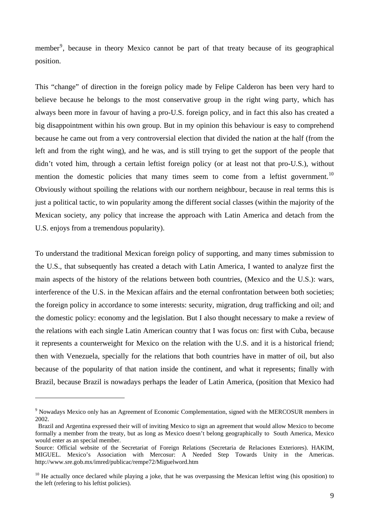member<sup>[9](#page-8-0)</sup>, because in theory Mexico cannot be part of that treaty because of its geographical position.

This "change" of direction in the foreign policy made by Felipe Calderon has been very hard to believe because he belongs to the most conservative group in the right wing party, which has always been more in favour of having a pro-U.S. foreign policy, and in fact this also has created a big disappointment within his own group. But in my opinion this behaviour is easy to comprehend because he came out from a very controversial election that divided the nation at the half (from the left and from the right wing), and he was, and is still trying to get the support of the people that didn't voted him, through a certain leftist foreign policy (or at least not that pro-U.S.), without mention the domestic policies that many times seem to come from a leftist government.<sup>[10](#page-8-1)</sup> Obviously without spoiling the relations with our northern neighbour, because in real terms this is just a political tactic, to win popularity among the different social classes (within the majority of the Mexican society, any policy that increase the approach with Latin America and detach from the U.S. enjoys from a tremendous popularity).

To understand the traditional Mexican foreign policy of supporting, and many times submission to the U.S., that subsequently has created a detach with Latin America, I wanted to analyze first the main aspects of the history of the relations between both countries, (Mexico and the U.S.): wars, interference of the U.S. in the Mexican affairs and the eternal confrontation between both societies; the foreign policy in accordance to some interests: security, migration, drug trafficking and oil; and the domestic policy: economy and the legislation. But I also thought necessary to make a review of the relations with each single Latin American country that I was focus on: first with Cuba, because it represents a counterweight for Mexico on the relation with the U.S. and it is a historical friend; then with Venezuela, specially for the relations that both countries have in matter of oil, but also because of the popularity of that nation inside the continent, and what it represents; finally with Brazil, because Brazil is nowadays perhaps the leader of Latin America, (position that Mexico had

<span id="page-8-0"></span><sup>&</sup>lt;sup>9</sup> Nowadays Mexico only has an Agreement of Economic Complementation, signed with the MERCOSUR members in 2002.

Brazil and Argentina expressed their will of inviting Mexico to sign an agreement that would allow Mexico to become formally a member from the treaty, but as long as Mexico doesn't belong geographically to South America, Mexico would enter as an special member.

Source: Official website of the Secretariat of Foreign Relations (Secretaria de Relaciones Exteriores). HAKIM, MIGUEL. Mexico's Association with Mercosur: A Needed Step Towards Unity in the Americas. http://www.sre.gob.mx/imred/publicac/rempe72/Miguelword.htm

<span id="page-8-1"></span> $10$  He actually once declared while playing a joke, that he was overpassing the Mexican leftist wing (his oposition) to the left (refering to his leftist policies).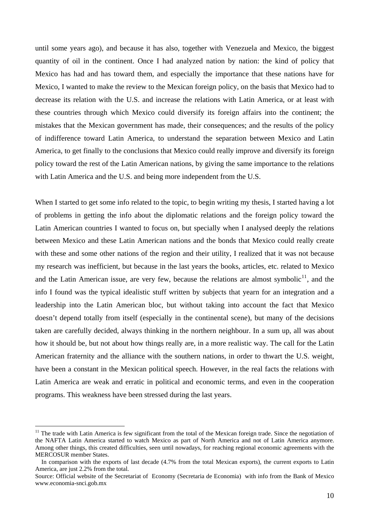until some years ago), and because it has also, together with Venezuela and Mexico, the biggest quantity of oil in the continent. Once I had analyzed nation by nation: the kind of policy that Mexico has had and has toward them, and especially the importance that these nations have for Mexico, I wanted to make the review to the Mexican foreign policy, on the basis that Mexico had to decrease its relation with the U.S. and increase the relations with Latin America, or at least with these countries through which Mexico could diversify its foreign affairs into the continent; the mistakes that the Mexican government has made, their consequences; and the results of the policy of indifference toward Latin America, to understand the separation between Mexico and Latin America, to get finally to the conclusions that Mexico could really improve and diversify its foreign policy toward the rest of the Latin American nations, by giving the same importance to the relations with Latin America and the U.S. and being more independent from the U.S.

When I started to get some info related to the topic, to begin writing my thesis, I started having a lot of problems in getting the info about the diplomatic relations and the foreign policy toward the Latin American countries I wanted to focus on, but specially when I analysed deeply the relations between Mexico and these Latin American nations and the bonds that Mexico could really create with these and some other nations of the region and their utility, I realized that it was not because my research was inefficient, but because in the last years the books, articles, etc. related to Mexico and the Latin American issue, are very few, because the relations are almost symbolic<sup>[11](#page-9-0)</sup>, and the info I found was the typical idealistic stuff written by subjects that yearn for an integration and a leadership into the Latin American bloc, but without taking into account the fact that Mexico doesn't depend totally from itself (especially in the continental scene), but many of the decisions taken are carefully decided, always thinking in the northern neighbour. In a sum up, all was about how it should be, but not about how things really are, in a more realistic way. The call for the Latin American fraternity and the alliance with the southern nations, in order to thwart the U.S. weight, have been a constant in the Mexican political speech. However, in the real facts the relations with Latin America are weak and erratic in political and economic terms, and even in the cooperation programs. This weakness have been stressed during the last years.

<span id="page-9-0"></span> $11$  The trade with Latin America is few significant from the total of the Mexican foreign trade. Since the negotiation of the NAFTA Latin America started to watch Mexico as part of North America and not of Latin America anymore. Among other things, this created difficulties, seen until nowadays, for reaching regional economic agreements with the MERCOSUR member States.

In comparison with the exports of last decade (4.7% from the total Mexican exports), the current exports to Latin America, are just 2.2% from the total.

Source: Official website of the Secretariat of Economy (Secretaria de Economia) with info from the Bank of Mexico www.economia-snci.gob.mx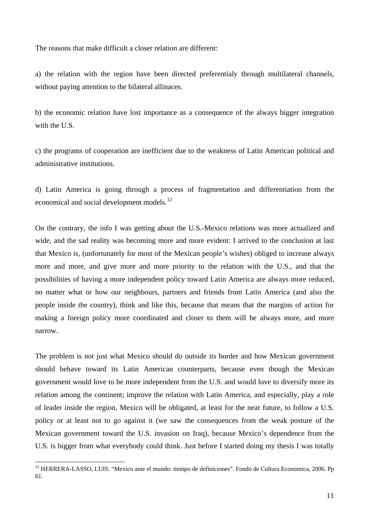The reasons that make difficult a closer relation are different:

a) the relation with the region have been directed preferentialy through multilateral channels, without paying attention to the bilateral allinaces.

b) the economic relation have lost importance as a consequence of the always bigger integration with the U.S.

c) the programs of cooperation are inefficient due to the weakness of Latin American political and administrative institutions.

d) Latin America is going through a process of fragmentation and differentiation from the economical and social development models.<sup>[12](#page-10-0)</sup>

On the contrary, the info I was getting about the U.S.-Mexico relations was more actualized and wide, and the sad reality was becoming more and more evident: I arrived to the conclusion at last that Mexico is, (unfortunately for most of the Mexican people's wishes) obliged to increase always more and more, and give more and more priority to the relation with the U.S., and that the possibilities of having a more independent policy toward Latin America are always more reduced, no matter what or how our neighbours, partners and friends from Latin America (and also the people inside the country), think and like this, because that means that the margins of action for making a foreign policy more coordinated and closer to them will be always more, and more narrow.

The problem is not just what Mexico should do outside its border and how Mexican government should behave toward its Latin American counterparts, because even though the Mexican government would love to be more independent from the U.S. and would love to diversify more its relation among the continent; improve the relation with Latin America, and especially, play a role of leader inside the region, Mexico will be obligated, at least for the near future, to follow a U.S. policy or at least not to go against it (we saw the consequences from the weak posture of the Mexican government toward the U.S. invasion on Iraq), because Mexico's dependence from the U.S. is bigger from what everybody could think. Just before I started doing my thesis I was totally

<span id="page-10-0"></span><sup>&</sup>lt;sup>12</sup> HERRERA-LASSO, LUIS. "Mexico ante el mundo: tiempo de definiciones". Fondo de Cultura Economica, 2006. Pp 61.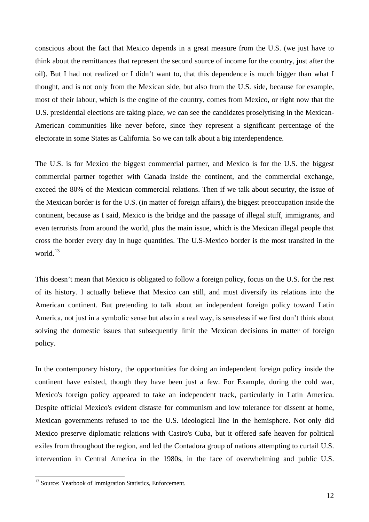conscious about the fact that Mexico depends in a great measure from the U.S. (we just have to think about the remittances that represent the second source of income for the country, just after the oil). But I had not realized or I didn't want to, that this dependence is much bigger than what I thought, and is not only from the Mexican side, but also from the U.S. side, because for example, most of their labour, which is the engine of the country, comes from Mexico, or right now that the U.S. presidential elections are taking place, we can see the candidates proselytising in the Mexican-American communities like never before, since they represent a significant percentage of the electorate in some States as California. So we can talk about a big interdependence.

The U.S. is for Mexico the biggest commercial partner, and Mexico is for the U.S. the biggest commercial partner together with Canada inside the continent, and the commercial exchange, exceed the 80% of the Mexican commercial relations. Then if we talk about security, the issue of the Mexican border is for the U.S. (in matter of foreign affairs), the biggest preoccupation inside the continent, because as I said, Mexico is the bridge and the passage of illegal stuff, immigrants, and even terrorists from around the world, plus the main issue, which is the Mexican illegal people that cross the border every day in huge quantities. The U.S-Mexico border is the most transited in the world.<sup>[13](#page-11-0)</sup>

This doesn't mean that Mexico is obligated to follow a foreign policy, focus on the U.S. for the rest of its history. I actually believe that Mexico can still, and must diversify its relations into the American continent. But pretending to talk about an independent foreign policy toward Latin America, not just in a symbolic sense but also in a real way, is senseless if we first don't think about solving the domestic issues that subsequently limit the Mexican decisions in matter of foreign policy.

In the contemporary history, the opportunities for doing an independent foreign policy inside the continent have existed, though they have been just a few. For Example, during the cold war, Mexico's foreign policy appeared to take an independent track, particularly in Latin America. Despite official Mexico's evident distaste for communism and low tolerance for dissent at home, Mexican governments refused to toe the U.S. ideological line in the hemisphere. Not only did Mexico preserve diplomatic relations with Castro's Cuba, but it offered safe heaven for political exiles from throughout the region, and led the Contadora group of nations attempting to curtail U.S. intervention in Central America in the 1980s, in the face of overwhelming and public U.S.

<span id="page-11-0"></span><sup>&</sup>lt;sup>13</sup> Source: Yearbook of Immigration Statistics, Enforcement.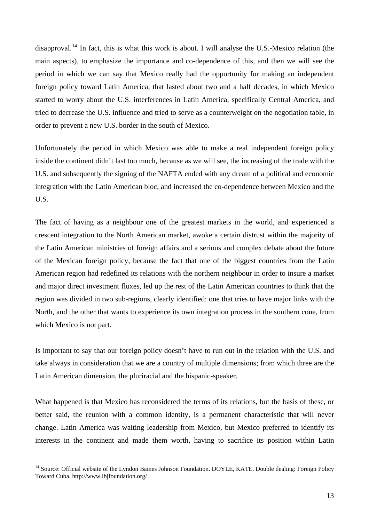disapproval.<sup>[14](#page-12-0)</sup> In fact, this is what this work is about. I will analyse the U.S.-Mexico relation (the main aspects), to emphasize the importance and co-dependence of this, and then we will see the period in which we can say that Mexico really had the opportunity for making an independent foreign policy toward Latin America, that lasted about two and a half decades, in which Mexico started to worry about the U.S. interferences in Latin America, specifically Central America, and tried to decrease the U.S. influence and tried to serve as a counterweight on the negotiation table, in order to prevent a new U.S. border in the south of Mexico.

Unfortunately the period in which Mexico was able to make a real independent foreign policy inside the continent didn't last too much, because as we will see, the increasing of the trade with the U.S. and subsequently the signing of the NAFTA ended with any dream of a political and economic integration with the Latin American bloc, and increased the co-dependence between Mexico and the U.S.

The fact of having as a neighbour one of the greatest markets in the world, and experienced a crescent integration to the North American market, awoke a certain distrust within the majority of the Latin American ministries of foreign affairs and a serious and complex debate about the future of the Mexican foreign policy, because the fact that one of the biggest countries from the Latin American region had redefined its relations with the northern neighbour in order to insure a market and major direct investment fluxes, led up the rest of the Latin American countries to think that the region was divided in two sub-regions, clearly identified: one that tries to have major links with the North, and the other that wants to experience its own integration process in the southern cone, from which Mexico is not part.

Is important to say that our foreign policy doesn't have to run out in the relation with the U.S. and take always in consideration that we are a country of multiple dimensions; from which three are the Latin American dimension, the pluriracial and the hispanic-speaker.

What happened is that Mexico has reconsidered the terms of its relations, but the basis of these, or better said, the reunion with a common identity, is a permanent characteristic that will never change. Latin America was waiting leadership from Mexico, but Mexico preferred to identify its interests in the continent and made them worth, having to sacrifice its position within Latin

<span id="page-12-0"></span><sup>&</sup>lt;sup>14</sup> Source: Official website of the Lyndon Baines Johnson Foundation. DOYLE, KATE. Double dealing: Foreign Policy Toward Cuba. http://www.lbjfoundation.org/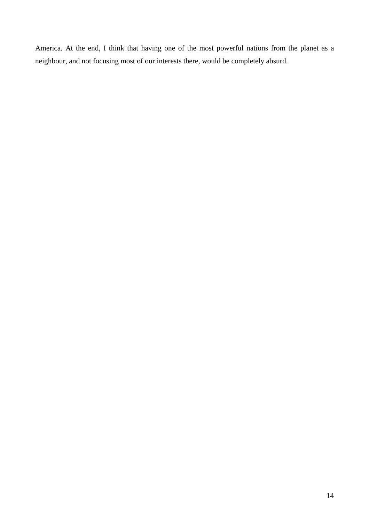America. At the end, I think that having one of the most powerful nations from the planet as a neighbour, and not focusing most of our interests there, would be completely absurd.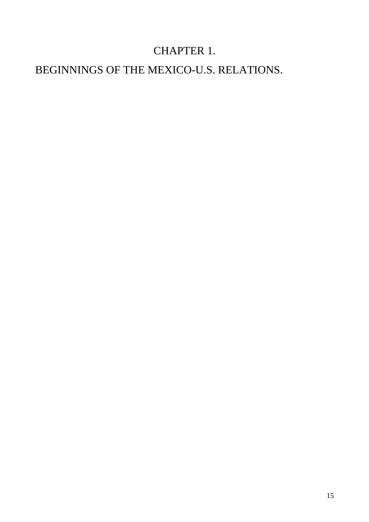## CHAPTER 1.

## BEGINNINGS OF THE MEXICO-U.S. RELATIONS.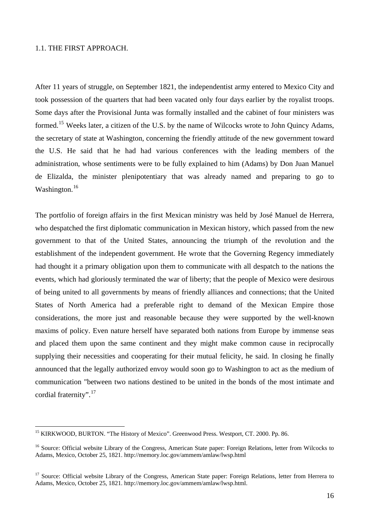#### 1.1. THE FIRST APPROACH.

 $\overline{a}$ 

After 11 years of struggle, on September 1821, the independentist army entered to Mexico City and took possession of the quarters that had been vacated only four days earlier by the royalist troops. Some days after the Provisional Junta was formally installed and the cabinet of four ministers was formed.<sup>[15](#page-15-0)</sup> Weeks later, a citizen of the U.S. by the name of Wilcocks wrote to John Quincy Adams, the secretary of state at Washington, concerning the friendly attitude of the new government toward the U.S. He said that he had had various conferences with the leading members of the administration, whose sentiments were to be fully explained to him (Adams) by Don Juan Manuel de Elizalda, the minister plenipotentiary that was already named and preparing to go to Washington.<sup>[16](#page-15-1)</sup>

The portfolio of foreign affairs in the first Mexican ministry was held by José Manuel de Herrera, who despatched the first diplomatic communication in Mexican history, which passed from the new government to that of the United States, announcing the triumph of the revolution and the establishment of the independent government. He wrote that the Governing Regency immediately had thought it a primary obligation upon them to communicate with all despatch to the nations the events, which had gloriously terminated the war of liberty; that the people of Mexico were desirous of being united to all governments by means of friendly alliances and connections; that the United States of North America had a preferable right to demand of the Mexican Empire those considerations, the more just and reasonable because they were supported by the well-known maxims of policy. Even nature herself have separated both nations from Europe by immense seas and placed them upon the same continent and they might make common cause in reciprocally supplying their necessities and cooperating for their mutual felicity, he said. In closing he finally announced that the legally authorized envoy would soon go to Washington to act as the medium of communication "between two nations destined to be united in the bonds of the most intimate and cordial fraternity".<sup>[17](#page-15-2)</sup>

<span id="page-15-0"></span><sup>&</sup>lt;sup>15</sup> KIRKWOOD, BURTON. "The History of Mexico". Greenwood Press. Westport, CT. 2000. Pp. 86.

<span id="page-15-1"></span><sup>&</sup>lt;sup>16</sup> Source: Official website Library of the Congress, American State paper: Foreign Relations, letter from Wilcocks to Adams, Mexico, October 25, 1821. http://memory.loc.gov/ammem/amlaw/lwsp.html

<span id="page-15-2"></span><sup>&</sup>lt;sup>17</sup> Source: Official website Library of the Congress, American State paper: Foreign Relations, letter from Herrera to Adams, Mexico, October 25, 1821. http://memory.loc.gov/ammem/amlaw/lwsp.html.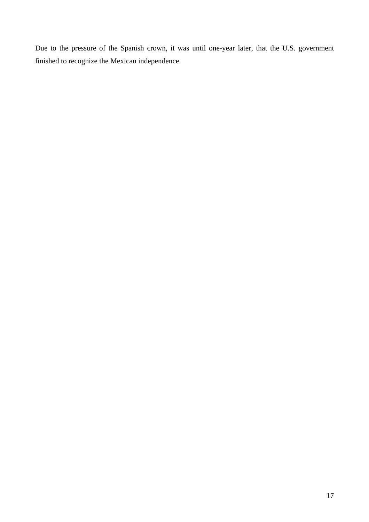Due to the pressure of the Spanish crown, it was until one-year later, that the U.S. government finished to recognize the Mexican independence.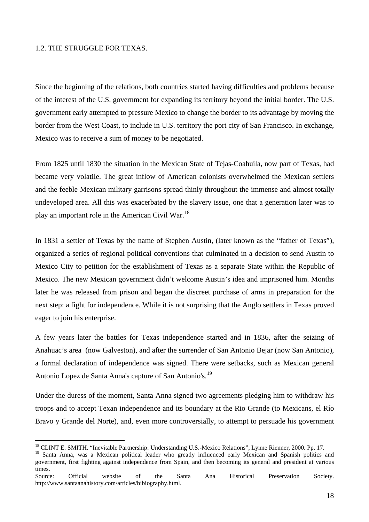#### 1.2. THE STRUGGLE FOR TEXAS.

Since the beginning of the relations, both countries started having difficulties and problems because of the interest of the U.S. government for expanding its territory beyond the initial border. The U.S. government early attempted to pressure Mexico to change the border to its advantage by moving the border from the West Coast, to include in U.S. territory the port city of San Francisco. In exchange, Mexico was to receive a sum of money to be negotiated.

From 1825 until 1830 the situation in the Mexican State of Tejas-Coahuila, now part of Texas, had became very volatile. The great inflow of American colonists overwhelmed the Mexican settlers and the feeble Mexican military garrisons spread thinly throughout the immense and almost totally undeveloped area. All this was exacerbated by the slavery issue, one that a generation later was to play an important role in the American Civil War.[18](#page-17-0)

In 1831 a settler of Texas by the name of Stephen Austin, (later known as the "father of Texas"), organized a series of regional political conventions that culminated in a decision to send Austin to Mexico City to petition for the establishment of Texas as a separate State within the Republic of Mexico. The new Mexican government didn't welcome Austin's idea and imprisoned him. Months later he was released from prison and began the discreet purchase of arms in preparation for the next step: a fight for independence. While it is not surprising that the Anglo settlers in Texas proved eager to join his enterprise.

A few years later the battles for Texas independence started and in 1836, after the seizing of Anahuac's area (now Galveston), and after the surrender of San Antonio Bejar (now San Antonio), a formal declaration of independence was signed. There were setbacks, such as Mexican general Antonio Lopez de Santa Anna's capture of San Antonio's.<sup>[19](#page-17-1)</sup>

Under the duress of the moment, Santa Anna signed two agreements pledging him to withdraw his troops and to accept Texan independence and its boundary at the Rio Grande (to Mexicans, el Río Bravo y Grande del Norte), and, even more controversially, to attempt to persuade his government

<span id="page-17-1"></span><span id="page-17-0"></span><sup>19</sup> Santa Anna, was a Mexican political leader who greatly influenced early Mexican and Spanish politics and government, first fighting against independence from Spain, and then becoming its general and president at various times.

 $\overline{a}$ 18 CLINT E. SMITH. "Inevitable Partnership: Understanding U.S.-Mexico Relations", Lynne Rienner, 2000. Pp. 17.

Source: Official website of the Santa Ana Historical Preservation Society. http://www.santaanahistory.com/articles/bibiography.html.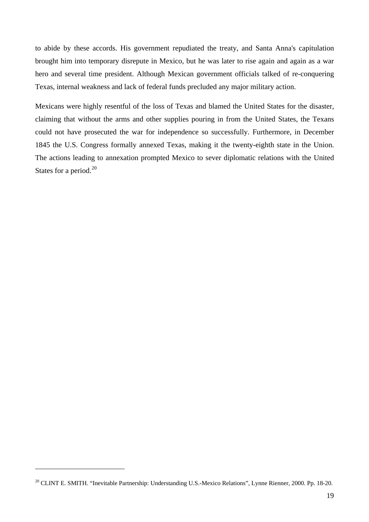to abide by these accords. His government repudiated the treaty, and Santa Anna's capitulation brought him into temporary disrepute in Mexico, but he was later to rise again and again as a war hero and several time president. Although Mexican government officials talked of re-conquering Texas, internal weakness and lack of federal funds precluded any major military action.

Mexicans were highly resentful of the loss of Texas and blamed the United States for the disaster, claiming that without the arms and other supplies pouring in from the United States, the Texans could not have prosecuted the war for independence so successfully. Furthermore, in December 1845 the U.S. Congress formally annexed Texas, making it the twenty-eighth state in the Union. The actions leading to annexation prompted Mexico to sever diplomatic relations with the United States for a period.<sup>[20](#page-18-0)</sup>

<span id="page-18-0"></span><sup>&</sup>lt;sup>20</sup> CLINT E. SMITH. "Inevitable Partnership: Understanding U.S.-Mexico Relations", Lynne Rienner, 2000. Pp. 18-20.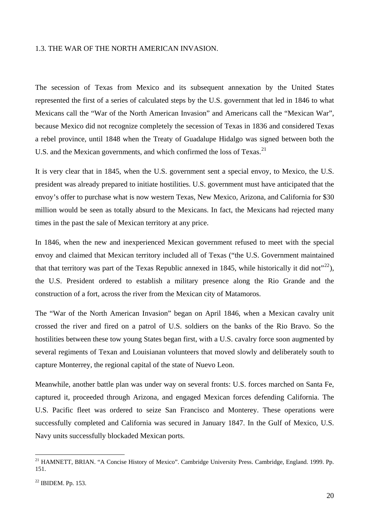#### 1.3. THE WAR OF THE NORTH AMERICAN INVASION.

The secession of Texas from Mexico and its subsequent annexation by the United States represented the first of a series of calculated steps by the U.S. government that led in 1846 to what Mexicans call the "War of the North American Invasion" and Americans call the "Mexican War", because Mexico did not recognize completely the secession of Texas in 1836 and considered Texas a rebel province, until 1848 when the Treaty of Guadalupe Hidalgo was signed between both the U.S. and the Mexican governments, and which confirmed the loss of Texas.<sup>[21](#page-19-0)</sup>

It is very clear that in 1845, when the U.S. government sent a special envoy, to Mexico, the U.S. president was already prepared to initiate hostilities. U.S. government must have anticipated that the envoy's offer to purchase what is now western Texas, New Mexico, Arizona, and California for \$30 million would be seen as totally absurd to the Mexicans. In fact, the Mexicans had rejected many times in the past the sale of Mexican territory at any price.

In 1846, when the new and inexperienced Mexican government refused to meet with the special envoy and claimed that Mexican territory included all of Texas ("the U.S. Government maintained that that territory was part of the Texas Republic annexed in 1845, while historically it did not<sup> $22$ </sup>), the U.S. President ordered to establish a military presence along the Rio Grande and the construction of a fort, across the river from the Mexican city of Matamoros.

The "War of the North American Invasion" began on April 1846, when a Mexican cavalry unit crossed the river and fired on a patrol of U.S. soldiers on the banks of the Rio Bravo. So the hostilities between these tow young States began first, with a U.S. cavalry force soon augmented by several regiments of Texan and Louisianan volunteers that moved slowly and deliberately south to capture Monterrey, the regional capital of the state of Nuevo Leon.

Meanwhile, another battle plan was under way on several fronts: U.S. forces marched on Santa Fe, captured it, proceeded through Arizona, and engaged Mexican forces defending California. The U.S. Pacific fleet was ordered to seize San Francisco and Monterey. These operations were successfully completed and California was secured in January 1847. In the Gulf of Mexico, U.S. Navy units successfully blockaded Mexican ports.

<span id="page-19-0"></span><sup>&</sup>lt;sup>21</sup> HAMNETT, BRIAN. "A Concise History of Mexico". Cambridge University Press. Cambridge, England. 1999. Pp. 151.

<span id="page-19-1"></span> $22$  IBIDEM. Pp. 153.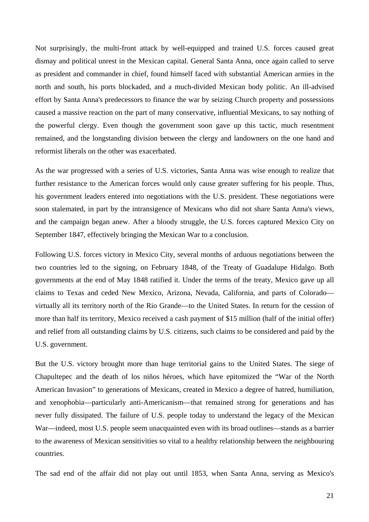Not surprisingly, the multi-front attack by well-equipped and trained U.S. forces caused great dismay and political unrest in the Mexican capital. General Santa Anna, once again called to serve as president and commander in chief, found himself faced with substantial American armies in the north and south, his ports blockaded, and a much-divided Mexican body politic. An ill-advised effort by Santa Anna's predecessors to finance the war by seizing Church property and possessions caused a massive reaction on the part of many conservative, influential Mexicans, to say nothing of the powerful clergy. Even though the government soon gave up this tactic, much resentment remained, and the longstanding division between the clergy and landowners on the one hand and reformist liberals on the other was exacerbated.

As the war progressed with a series of U.S. victories, Santa Anna was wise enough to realize that further resistance to the American forces would only cause greater suffering for his people. Thus, his government leaders entered into negotiations with the U.S. president. These negotiations were soon stalemated, in part by the intransigence of Mexicans who did not share Santa Anna's views, and the campaign began anew. After a bloody struggle, the U.S. forces captured Mexico City on September 1847, effectively bringing the Mexican War to a conclusion.

Following U.S. forces victory in Mexico City, several months of arduous negotiations between the two countries led to the signing, on February 1848, of the Treaty of Guadalupe Hidalgo. Both governments at the end of May 1848 ratified it. Under the terms of the treaty, Mexico gave up all claims to Texas and ceded New Mexico, Arizona, Nevada, California, and parts of Colorado virtually all its territory north of the Rio Grande—to the United States. In return for the cession of more than half its territory, Mexico received a cash payment of \$15 million (half of the initial offer) and relief from all outstanding claims by U.S. citizens, such claims to be considered and paid by the U.S. government.

But the U.S. victory brought more than huge territorial gains to the United States. The siege of Chapultepec and the death of los niños héroes, which have epitomized the "War of the North American Invasion" to generations of Mexicans, created in Mexico a degree of hatred, humiliation, and xenophobia—particularly anti-Americanism—that remained strong for generations and has never fully dissipated. The failure of U.S. people today to understand the legacy of the Mexican War—indeed, most U.S. people seem unacquainted even with its broad outlines—stands as a barrier to the awareness of Mexican sensitivities so vital to a healthy relationship between the neighbouring countries.

The sad end of the affair did not play out until 1853, when Santa Anna, serving as Mexico's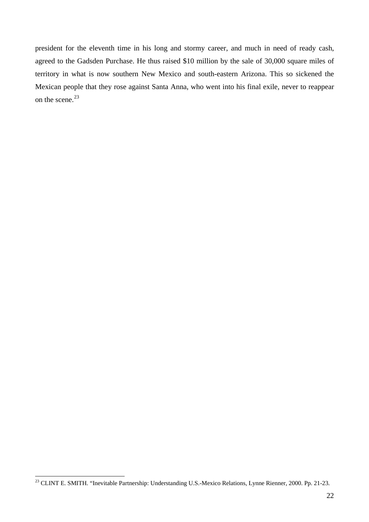president for the eleventh time in his long and stormy career, and much in need of ready cash, agreed to the Gadsden Purchase. He thus raised \$10 million by the sale of 30,000 square miles of territory in what is now southern New Mexico and south-eastern Arizona. This so sickened the Mexican people that they rose against Santa Anna, who went into his final exile, never to reappear on the scene.<sup>[23](#page-21-0)</sup>

<span id="page-21-0"></span><sup>&</sup>lt;sup>23</sup> CLINT E. SMITH. "Inevitable Partnership: Understanding U.S.-Mexico Relations, Lynne Rienner, 2000. Pp. 21-23.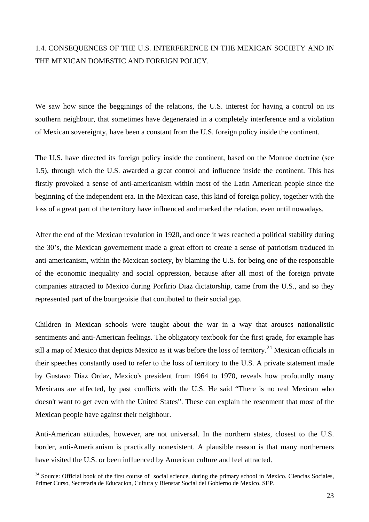### 1.4. CONSEQUENCES OF THE U.S. INTERFERENCE IN THE MEXICAN SOCIETY AND IN THE MEXICAN DOMESTIC AND FOREIGN POLICY.

We saw how since the begginings of the relations, the U.S. interest for having a control on its southern neighbour, that sometimes have degenerated in a completely interference and a violation of Mexican sovereignty, have been a constant from the U.S. foreign policy inside the continent.

The U.S. have directed its foreign policy inside the continent, based on the Monroe doctrine (see 1.5), through wich the U.S. awarded a great control and influence inside the continent. This has firstly provoked a sense of anti-americanism within most of the Latin American people since the beginning of the independent era. In the Mexican case, this kind of foreign policy, together with the loss of a great part of the territory have influenced and marked the relation, even until nowadays.

After the end of the Mexican revolution in 1920, and once it was reached a political stability during the 30's, the Mexican governement made a great effort to create a sense of patriotism traduced in anti-americanism, within the Mexican society, by blaming the U.S. for being one of the responsable of the economic inequality and social oppression, because after all most of the foreign private companies attracted to Mexico during Porfirio Diaz dictatorship, came from the U.S., and so they represented part of the bourgeoisie that contibuted to their social gap.

Children in Mexican schools were taught about the war in a way that arouses nationalistic sentiments and anti-American feelings. The obligatory textbook for the first grade, for example has stll a map of Mexico that depicts Mexico as it was before the loss of territory.<sup>[24](#page-22-0)</sup> Mexican officials in their speeches constantly used to refer to the loss of territory to the U.S. A private statement made by Gustavo Diaz Ordaz, Mexico's president from 1964 to 1970, reveals how profoundly many Mexicans are affected, by past conflicts with the U.S. He said "There is no real Mexican who doesn't want to get even with the United States". These can explain the resenment that most of the Mexican people have against their neighbour.

Anti-American attitudes, however, are not universal. In the northern states, closest to the U.S. border, anti-Americanism is practically nonexistent. A plausible reason is that many northerners have visited the U.S. or been influenced by American culture and feel attracted.

<span id="page-22-0"></span><sup>&</sup>lt;sup>24</sup> Source: Official book of the first course of social science, during the primary school in Mexico. Ciencias Sociales, Primer Curso, Secretaria de Educacion, Cultura y Bienstar Social del Gobierno de Mexico. SEP.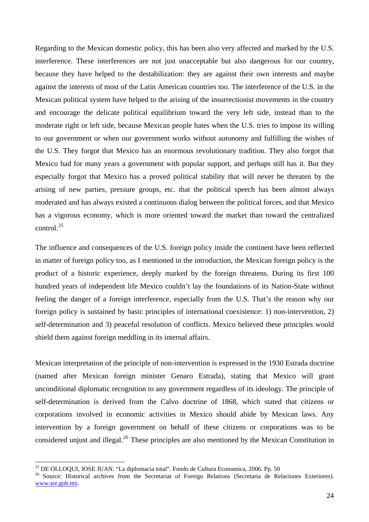Regarding to the Mexican domestic policy, this has been also very affected and marked by the U.S. interference. These interferences are not just unacceptable but also dangerous for our country, because they have helped to the destabilization: they are against their own interests and maybe against the interests of most of the Latin American countries too. The interference of the U.S. in the Mexican political system have helped to the arising of the insurrectionist movements in the country and encourage the delicate political equilibrium toward the very left side, instead than to the moderate right or left side, because Mexican people hates when the U.S. tries to impose its willing to our government or when our government works without autonomy and fulfilling the wishes of the U.S. They forgot that Mexico has an enormous revolutionary tradition. They also forgot that Mexico had for many years a government with popular support, and perhaps still has it. But they especially forgot that Mexico has a proved political stability that will never be threaten by the arising of new parties, pressure groups, etc. that the political speech has been almost always moderated and has always existed a continuous dialog between the political forces, and that Mexico has a vigorous economy, which is more oriented toward the market than toward the centralized control.[25](#page-23-0)

The influence and consequences of the U.S. foreign policy inside the continent have been reflected in matter of foreign policy too, as I mentioned in the introduction, the Mexican foreign policy is the product of a historic experience, deeply marked by the foreign threatens. During its first 100 hundred years of independent life Mexico couldn't lay the foundations of its Nation-State without feeling the danger of a foreign interference, especially from the U.S. That's the reason why our foreign policy is sustained by basic principles of international coexistence: 1) non-intervention, 2) self-determination and 3) peaceful resolution of conflicts. Mexico believed these principles would shield them against foreign meddling in its internal affairs.

Mexican interpretation of the principle of non-intervention is expressed in the 1930 Estrada doctrine (named after Mexican foreign minister Genaro Estrada), stating that Mexico will grant unconditional diplomatic recognition to any government regardless of its ideology. The principle of self-determination is derived from the Calvo doctrine of 1868, which stated that citizens or corporations involved in economic activities in Mexico should abide by Mexican laws. Any intervention by a foreign government on behalf of these citizens or corporations was to be considered unjust and illegal.<sup>[26](#page-23-1)</sup> These principles are also mentioned by the Mexican Constitution in

<sup>25</sup> DE OLLOQUI, JOSE JUAN. "La diplomacia total". Fondo de Cultura Economica, 2006. Pp. 50

<span id="page-23-1"></span><span id="page-23-0"></span><sup>&</sup>lt;sup>26</sup> Source: Historical archives from the Secretariat of Foreign Relations (Secretaria de Relaciones Exteriores). [www.sre.gob.mx](http://www.sre.gob.mx/).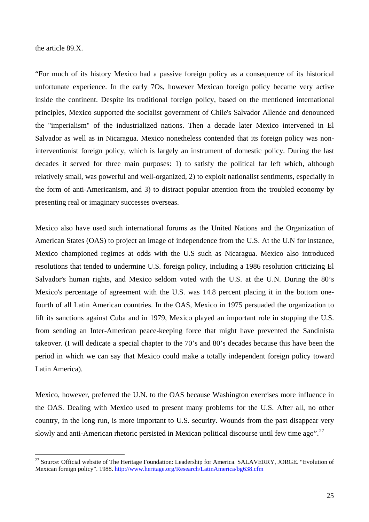the article 89.X.

 $\overline{a}$ 

"For much of its history Mexico had a passive foreign policy as a consequence of its historical unfortunate experience. In the early 7Os, however Mexican foreign policy became very active inside the continent. Despite its traditional foreign policy, based on the mentioned international principles, Mexico supported the socialist government of Chile's Salvador Allende and denounced the "imperialism" of the industrialized nations. Then a decade later Mexico intervened in El Salvador as well as in Nicaragua. Mexico nonetheless contended that its foreign policy was noninterventionist foreign policy, which is largely an instrument of domestic policy. During the last decades it served for three main purposes: 1) to satisfy the political far left which, although relatively small, was powerful and well-organized, 2) to exploit nationalist sentiments, especially in the form of anti-Americanism, and 3) to distract popular attention from the troubled economy by presenting real or imaginary successes overseas.

Mexico also have used such international forums as the United Nations and the Organization of American States (OAS) to project an image of independence from the U.S. At the U.N for instance, Mexico championed regimes at odds with the U.S such as Nicaragua. Mexico also introduced resolutions that tended to undermine U.S. foreign policy, including a 1986 resolution criticizing El Salvador's human rights, and Mexico seldom voted with the U.S. at the U.N. During the 80's Mexico's percentage of agreement with the U.S. was 14.8 percent placing it in the bottom onefourth of all Latin American countries. In the OAS, Mexico in 1975 persuaded the organization to lift its sanctions against Cuba and in 1979, Mexico played an important role in stopping the U.S. from sending an Inter-American peace-keeping force that might have prevented the Sandinista takeover. (I will dedicate a special chapter to the 70's and 80's decades because this have been the period in which we can say that Mexico could make a totally independent foreign policy toward Latin America).

Mexico, however, preferred the U.N. to the OAS because Washington exercises more influence in the OAS. Dealing with Mexico used to present many problems for the U.S. After all, no other country, in the long run, is more important to U.S. security. Wounds from the past disappear very slowly and anti-American rhetoric persisted in Mexican political discourse until few time ago".<sup>[27](#page-24-0)</sup>

<span id="page-24-0"></span><sup>&</sup>lt;sup>27</sup> Source: Official website of The Heritage Foundation: Leadership for America. SALAVERRY, JORGE. "Evolution of Mexican foreign policy". 1988.<http://www.heritage.org/Research/LatinAmerica/bg638.cfm>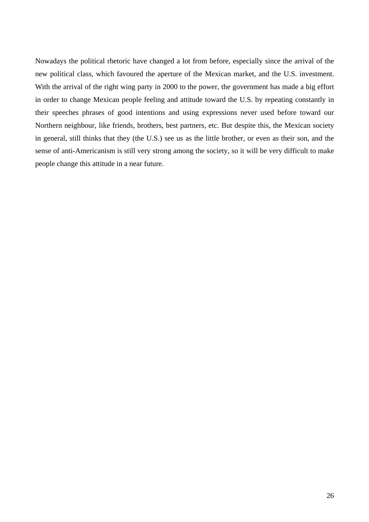Nowadays the political rhetoric have changed a lot from before, especially since the arrival of the new political class, which favoured the aperture of the Mexican market, and the U.S. investment. With the arrival of the right wing party in 2000 to the power, the government has made a big effort in order to change Mexican people feeling and attitude toward the U.S. by repeating constantly in their speeches phrases of good intentions and using expressions never used before toward our Northern neighbour, like friends, brothers, best partners, etc. But despite this, the Mexican society in general, still thinks that they (the U.S.) see us as the little brother, or even as their son, and the sense of anti-Americanism is still very strong among the society, so it will be very difficult to make people change this attitude in a near future.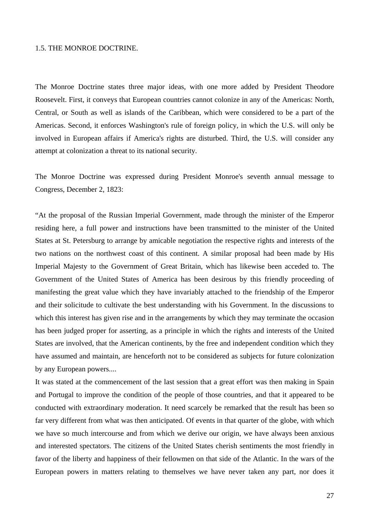#### 1.5. THE MONROE DOCTRINE.

The Monroe Doctrine states three major ideas, with one more added by President Theodore Roosevelt. First, it conveys that European countries cannot colonize in any of the Americas: North, Central, or South as well as islands of the Caribbean, which were considered to be a part of the Americas. Second, it enforces Washington's rule of foreign policy, in which the U.S. will only be involved in European affairs if America's rights are disturbed. Third, the U.S. will consider any attempt at colonization a threat to its national security.

The Monroe Doctrine was expressed during President Monroe's seventh annual message to Congress, December 2, 1823:

"At the proposal of the Russian Imperial Government, made through the minister of the Emperor residing here, a full power and instructions have been transmitted to the minister of the United States at St. Petersburg to arrange by amicable negotiation the respective rights and interests of the two nations on the northwest coast of this continent. A similar proposal had been made by His Imperial Majesty to the Government of Great Britain, which has likewise been acceded to. The Government of the United States of America has been desirous by this friendly proceeding of manifesting the great value which they have invariably attached to the friendship of the Emperor and their solicitude to cultivate the best understanding with his Government. In the discussions to which this interest has given rise and in the arrangements by which they may terminate the occasion has been judged proper for asserting, as a principle in which the rights and interests of the United States are involved, that the American continents, by the free and independent condition which they have assumed and maintain, are henceforth not to be considered as subjects for future colonization by any European powers....

It was stated at the commencement of the last session that a great effort was then making in Spain and Portugal to improve the condition of the people of those countries, and that it appeared to be conducted with extraordinary moderation. It need scarcely be remarked that the result has been so far very different from what was then anticipated. Of events in that quarter of the globe, with which we have so much intercourse and from which we derive our origin, we have always been anxious and interested spectators. The citizens of the United States cherish sentiments the most friendly in favor of the liberty and happiness of their fellowmen on that side of the Atlantic. In the wars of the European powers in matters relating to themselves we have never taken any part, nor does it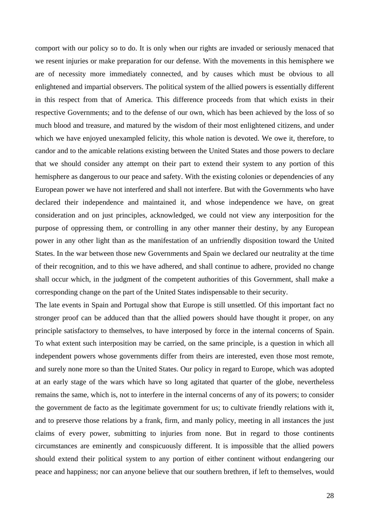comport with our policy so to do. It is only when our rights are invaded or seriously menaced that we resent injuries or make preparation for our defense. With the movements in this hemisphere we are of necessity more immediately connected, and by causes which must be obvious to all enlightened and impartial observers. The political system of the allied powers is essentially different in this respect from that of America. This difference proceeds from that which exists in their respective Governments; and to the defense of our own, which has been achieved by the loss of so much blood and treasure, and matured by the wisdom of their most enlightened citizens, and under which we have enjoyed unexampled felicity, this whole nation is devoted. We owe it, therefore, to candor and to the amicable relations existing between the United States and those powers to declare that we should consider any attempt on their part to extend their system to any portion of this hemisphere as dangerous to our peace and safety. With the existing colonies or dependencies of any European power we have not interfered and shall not interfere. But with the Governments who have declared their independence and maintained it, and whose independence we have, on great consideration and on just principles, acknowledged, we could not view any interposition for the purpose of oppressing them, or controlling in any other manner their destiny, by any European power in any other light than as the manifestation of an unfriendly disposition toward the United States. In the war between those new Governments and Spain we declared our neutrality at the time of their recognition, and to this we have adhered, and shall continue to adhere, provided no change shall occur which, in the judgment of the competent authorities of this Government, shall make a corresponding change on the part of the United States indispensable to their security.

The late events in Spain and Portugal show that Europe is still unsettled. Of this important fact no stronger proof can be adduced than that the allied powers should have thought it proper, on any principle satisfactory to themselves, to have interposed by force in the internal concerns of Spain. To what extent such interposition may be carried, on the same principle, is a question in which all independent powers whose governments differ from theirs are interested, even those most remote, and surely none more so than the United States. Our policy in regard to Europe, which was adopted at an early stage of the wars which have so long agitated that quarter of the globe, nevertheless remains the same, which is, not to interfere in the internal concerns of any of its powers; to consider the government de facto as the legitimate government for us; to cultivate friendly relations with it, and to preserve those relations by a frank, firm, and manly policy, meeting in all instances the just claims of every power, submitting to injuries from none. But in regard to those continents circumstances are eminently and conspicuously different. It is impossible that the allied powers should extend their political system to any portion of either continent without endangering our peace and happiness; nor can anyone believe that our southern brethren, if left to themselves, would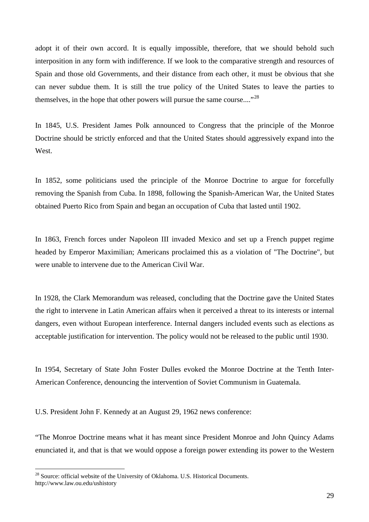adopt it of their own accord. It is equally impossible, therefore, that we should behold such interposition in any form with indifference. If we look to the comparative strength and resources of Spain and those old Governments, and their distance from each other, it must be obvious that she can never subdue them. It is still the true policy of the United States to leave the parties to themselves, in the hope that other powers will pursue the same course...."<sup>[28](#page-28-0)</sup>

In 1845, U.S. President James Polk announced to Congress that the principle of the Monroe Doctrine should be strictly enforced and that the United States should aggressively expand into the West.

In 1852, some politicians used the principle of the Monroe Doctrine to argue for forcefully removing the Spanish from Cuba. In 1898, following the Spanish-American War, the United States obtained Puerto Rico from Spain and began an occupation of Cuba that lasted until 1902.

In 1863, French forces under Napoleon III invaded Mexico and set up a French puppet regime headed by Emperor Maximilian; Americans proclaimed this as a violation of "The Doctrine", but were unable to intervene due to the American Civil War.

In 1928, the Clark Memorandum was released, concluding that the Doctrine gave the United States the right to intervene in Latin American affairs when it perceived a threat to its interests or internal dangers, even without European interference. Internal dangers included events such as elections as acceptable justification for intervention. The policy would not be released to the public until 1930.

In 1954, Secretary of State John Foster Dulles evoked the Monroe Doctrine at the Tenth Inter-American Conference, denouncing the intervention of Soviet Communism in Guatemala.

U.S. President John F. Kennedy at an August 29, 1962 news conference:

"The Monroe Doctrine means what it has meant since President Monroe and John Quincy Adams enunciated it, and that is that we would oppose a foreign power extending its power to the Western

<span id="page-28-0"></span><sup>&</sup>lt;sup>28</sup> Source: official website of the University of Oklahoma. U.S. Historical Documents. http://www.law.ou.edu/ushistory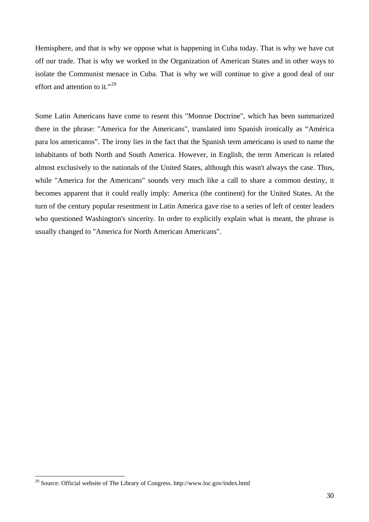Hemisphere, and that is why we oppose what is happening in Cuba today. That is why we have cut off our trade. That is why we worked in the Organization of American States and in other ways to isolate the Communist menace in Cuba. That is why we will continue to give a good deal of our effort and attention to it."<sup>[29](#page-29-0)</sup>

Some Latin Americans have come to resent this "Monroe Doctrine", which has been summarized there in the phrase: "America for the Americans", translated into Spanish ironically as "América para los americanos". The irony lies in the fact that the Spanish term americano is used to name the inhabitants of both North and South America. However, in English, the term American is related almost exclusively to the nationals of the United States, although this wasn't always the case. Thus, while "America for the Americans" sounds very much like a call to share a common destiny, it becomes apparent that it could really imply: America (the continent) for the United States. At the turn of the century popular resentment in Latin America gave rise to a series of left of center leaders who questioned Washington's sincerity. In order to explicitly explain what is meant, the phrase is usually changed to "America for North American Americans".

<span id="page-29-0"></span><sup>29</sup> Source: Official website of The Library of Congress. http://www.loc.gov/index.html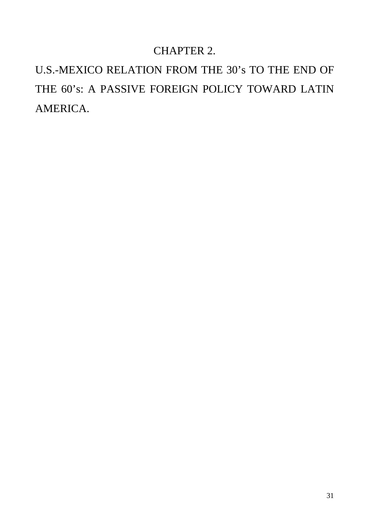### CHAPTER 2.

U.S.-MEXICO RELATION FROM THE 30's TO THE END OF THE 60's: A PASSIVE FOREIGN POLICY TOWARD LATIN AMERICA.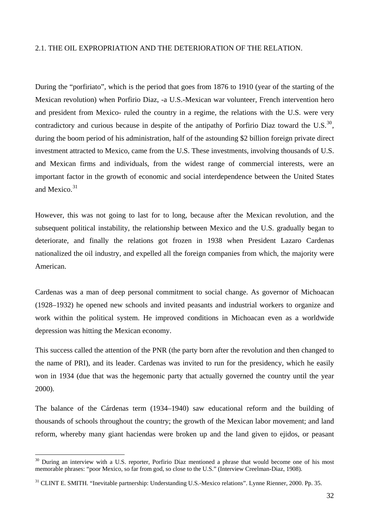### 2.1. THE OIL EXPROPRIATION AND THE DETERIORATION OF THE RELATION.

During the "porfiriato", which is the period that goes from 1876 to 1910 (year of the starting of the Mexican revolution) when Porfirio Diaz, -a U.S.-Mexican war volunteer, French intervention hero and president from Mexico- ruled the country in a regime, the relations with the U.S. were very contradictory and curious because in despite of the antipathy of Porfirio Diaz toward the U.S. $^{30}$  $^{30}$  $^{30}$ . during the boom period of his administration, half of the astounding \$2 billion foreign private direct investment attracted to Mexico, came from the U.S. These investments, involving thousands of U.S. and Mexican firms and individuals, from the widest range of commercial interests, were an important factor in the growth of economic and social interdependence between the United States and Mexico.<sup>[31](#page-31-1)</sup>

However, this was not going to last for to long, because after the Mexican revolution, and the subsequent political instability, the relationship between Mexico and the U.S. gradually began to deteriorate, and finally the relations got frozen in 1938 when President Lazaro Cardenas nationalized the oil industry, and expelled all the foreign companies from which, the majority were American.

Cardenas was a man of deep personal commitment to social change. As governor of Michoacan (1928–1932) he opened new schools and invited peasants and industrial workers to organize and work within the political system. He improved conditions in Michoacan even as a worldwide depression was hitting the Mexican economy.

This success called the attention of the PNR (the party born after the revolution and then changed to the name of PRI), and its leader. Cardenas was invited to run for the presidency, which he easily won in 1934 (due that was the hegemonic party that actually governed the country until the year 2000).

The balance of the Cárdenas term (1934–1940) saw educational reform and the building of thousands of schools throughout the country; the growth of the Mexican labor movement; and land reform, whereby many giant haciendas were broken up and the land given to ejidos, or peasant

<span id="page-31-0"></span><sup>&</sup>lt;sup>30</sup> During an interview with a U.S. reporter, Porfirio Diaz mentioned a phrase that would become one of his most memorable phrases: "poor Mexico, so far from god, so close to the U.S." (Interview Creelman-Diaz, 1908).

<span id="page-31-1"></span><sup>&</sup>lt;sup>31</sup> CLINT E. SMITH. "Inevitable partnership: Understanding U.S.-Mexico relations". Lynne Rienner, 2000. Pp. 35.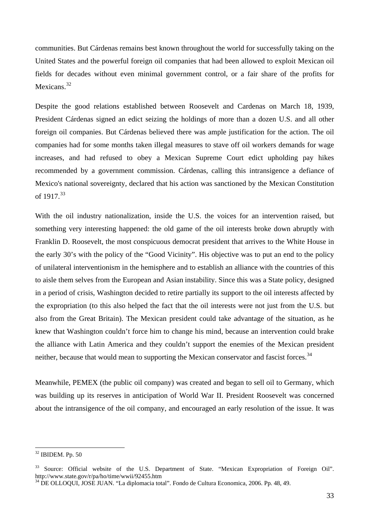communities. But Cárdenas remains best known throughout the world for successfully taking on the United States and the powerful foreign oil companies that had been allowed to exploit Mexican oil fields for decades without even minimal government control, or a fair share of the profits for Mexicans<sup>[32](#page-32-0)</sup>

Despite the good relations established between Roosevelt and Cardenas on March 18, 1939, President Cárdenas signed an edict seizing the holdings of more than a dozen U.S. and all other foreign oil companies. But Cárdenas believed there was ample justification for the action. The oil companies had for some months taken illegal measures to stave off oil workers demands for wage increases, and had refused to obey a Mexican Supreme Court edict upholding pay hikes recommended by a government commission. Cárdenas, calling this intransigence a defiance of Mexico's national sovereignty, declared that his action was sanctioned by the Mexican Constitution of 1917.<sup>[33](#page-32-1)</sup>

With the oil industry nationalization, inside the U.S. the voices for an intervention raised, but something very interesting happened: the old game of the oil interests broke down abruptly with Franklin D. Roosevelt, the most conspicuous democrat president that arrives to the White House in the early 30's with the policy of the "Good Vicinity". His objective was to put an end to the policy of unilateral interventionism in the hemisphere and to establish an alliance with the countries of this to aisle them selves from the European and Asian instability. Since this was a State policy, designed in a period of crisis, Washington decided to retire partially its support to the oil interests affected by the expropriation (to this also helped the fact that the oil interests were not just from the U.S. but also from the Great Britain). The Mexican president could take advantage of the situation, as he knew that Washington couldn't force him to change his mind, because an intervention could brake the alliance with Latin America and they couldn't support the enemies of the Mexican president neither, because that would mean to supporting the Mexican conservator and fascist forces.<sup>[34](#page-32-2)</sup>

Meanwhile, PEMEX (the public oil company) was created and began to sell oil to Germany, which was building up its reserves in anticipation of World War II. President Roosevelt was concerned about the intransigence of the oil company, and encouraged an early resolution of the issue. It was

<span id="page-32-0"></span> $32$  IBIDEM. Pp. 50

<span id="page-32-1"></span><sup>&</sup>lt;sup>33</sup> Source: Official website of the U.S. Department of State. "Mexican Expropriation of Foreign Oil". http://www.state.gov/r/pa/ho/time/wwii/92455.htm

<span id="page-32-2"></span><sup>34</sup> DE OLLOQUI, JOSE JUAN. "La diplomacia total". Fondo de Cultura Economica, 2006. Pp. 48, 49.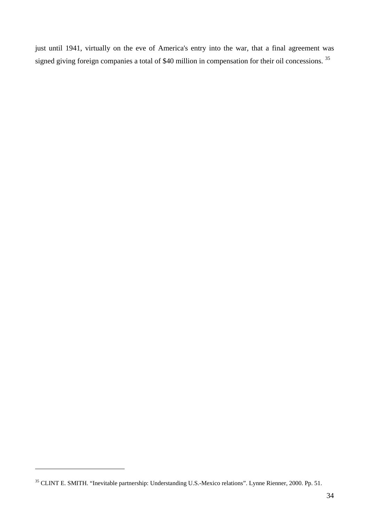just until 1941, virtually on the eve of America's entry into the war, that a final agreement was signed giving foreign companies a total of \$40 million in compensation for their oil concessions.<sup>[35](#page-33-0)</sup>

<span id="page-33-0"></span><sup>35</sup> CLINT E. SMITH. "Inevitable partnership: Understanding U.S.-Mexico relations". Lynne Rienner, 2000. Pp. 51.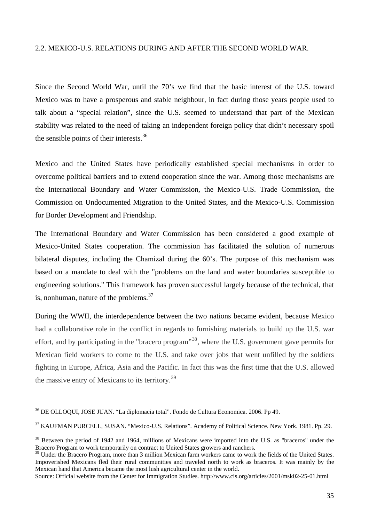### 2.2. MEXICO-U.S. RELATIONS DURING AND AFTER THE SECOND WORLD WAR.

Since the Second World War, until the 70's we find that the basic interest of the U.S. toward Mexico was to have a prosperous and stable neighbour, in fact during those years people used to talk about a "special relation", since the U.S. seemed to understand that part of the Mexican stability was related to the need of taking an independent foreign policy that didn't necessary spoil the sensible points of their interests. $36$ 

Mexico and the United States have periodically established special mechanisms in order to overcome political barriers and to extend cooperation since the war. Among those mechanisms are the International Boundary and Water Commission, the Mexico-U.S. Trade Commission, the Commission on Undocumented Migration to the United States, and the Mexico-U.S. Commission for Border Development and Friendship.

The International Boundary and Water Commission has been considered a good example of Mexico-United States cooperation. The commission has facilitated the solution of numerous bilateral disputes, including the Chamizal during the 60's. The purpose of this mechanism was based on a mandate to deal with the "problems on the land and water boundaries susceptible to engineering solutions." This framework has proven successful largely because of the technical, that is, nonhuman, nature of the problems.<sup>[37](#page-34-1)</sup>

During the WWII, the interdependence between the two nations became evident, because Mexico had a collaborative role in the conflict in regards to furnishing materials to build up the U.S. war effort, and by participating in the "bracero program"<sup>[38](#page-34-2)</sup>, where the U.S. government gave permits for Mexican field workers to come to the U.S. and take over jobs that went unfilled by the soldiers fighting in Europe, Africa, Asia and the Pacific. In fact this was the first time that the U.S. allowed the massive entry of Mexicans to its territory.[39](#page-34-3)

 $\overline{a}$ 

Source: Official website from the Center for Immigration Studies. http://www.cis.org/articles/2001/msk02-25-01.html

<span id="page-34-0"></span><sup>36</sup> DE OLLOQUI, JOSE JUAN. "La diplomacia total". Fondo de Cultura Economica. 2006. Pp 49.

<span id="page-34-1"></span><sup>37</sup> KAUFMAN PURCELL, SUSAN. "Mexico-U.S. Relations". Academy of Political Science. New York. 1981. Pp. 29.

<span id="page-34-2"></span><sup>&</sup>lt;sup>38</sup> Between the period of 1942 and 1964, millions of Mexicans were imported into the U.S. as "braceros" under the Bracero Program to work temporarily on contract to United States growers and ranchers.

<span id="page-34-3"></span><sup>&</sup>lt;sup>39</sup> Under the Bracero Program, more than 3 million Mexican farm workers came to work the fields of the United States. Impoverished Mexicans fled their rural communities and traveled north to work as braceros. It was mainly by the Mexican hand that America became the most lush agricultural center in the world.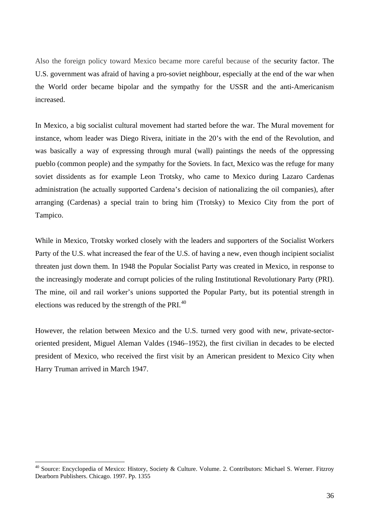Also the foreign policy toward Mexico became more careful because of the security factor. The U.S. government was afraid of having a pro-soviet neighbour, especially at the end of the war when the World order became bipolar and the sympathy for the USSR and the anti-Americanism increased.

In Mexico, a big socialist cultural movement had started before the war. The Mural movement for instance, whom leader was Diego Rivera, initiate in the 20's with the end of the Revolution, and was basically a way of expressing through mural (wall) paintings the needs of the oppressing pueblo (common people) and the sympathy for the Soviets. In fact, Mexico was the refuge for many soviet dissidents as for example Leon Trotsky, who came to Mexico during Lazaro Cardenas administration (he actually supported Cardena's decision of nationalizing the oil companies), after arranging (Cardenas) a special train to bring him (Trotsky) to Mexico City from the port of Tampico.

While in Mexico, Trotsky worked closely with the leaders and supporters of the Socialist Workers Party of the U.S. what increased the fear of the U.S. of having a new, even though incipient socialist threaten just down them. In 1948 the Popular Socialist Party was created in Mexico, in response to the increasingly moderate and corrupt policies of the ruling Institutional Revolutionary Party (PRI). The mine, oil and rail worker's unions supported the Popular Party, but its potential strength in elections was reduced by the strength of the PRI.<sup>[40](#page-35-0)</sup>

However, the relation between Mexico and the U.S. turned very good with new, private-sectororiented president, Miguel Aleman Valdes (1946–1952), the first civilian in decades to be elected president of Mexico, who received the first visit by an American president to Mexico City when Harry Truman arrived in March 1947.

<span id="page-35-0"></span><sup>&</sup>lt;sup>40</sup> Source: Encyclopedia of Mexico: History, Society & Culture. Volume. 2. Contributors: Michael S. Werner. Fitzroy Dearborn Publishers. Chicago. 1997. Pp. 1355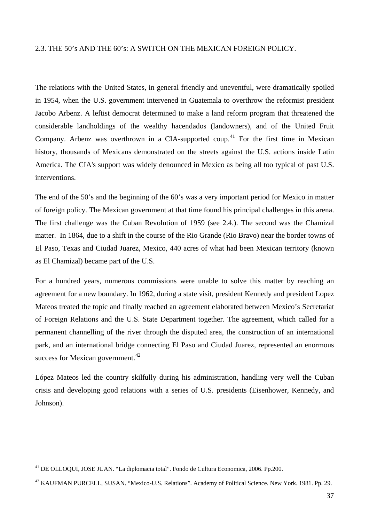### 2.3. THE 50's AND THE 60's: A SWITCH ON THE MEXICAN FOREIGN POLICY.

The relations with the United States, in general friendly and uneventful, were dramatically spoiled in 1954, when the U.S. government intervened in Guatemala to overthrow the reformist president Jacobo Arbenz. A leftist democrat determined to make a land reform program that threatened the considerable landholdings of the wealthy hacendados (landowners), and of the United Fruit Company. Arbenz was overthrown in a CIA-supported coup.<sup>[41](#page-36-0)</sup> For the first time in Mexican history, thousands of Mexicans demonstrated on the streets against the U.S. actions inside Latin America. The CIA's support was widely denounced in Mexico as being all too typical of past U.S. interventions.

The end of the 50's and the beginning of the 60's was a very important period for Mexico in matter of foreign policy. The Mexican government at that time found his principal challenges in this arena. The first challenge was the Cuban Revolution of 1959 (see 2.4.). The second was the Chamizal matter. In 1864, due to a shift in the course of the Rio Grande (Rio Bravo) near the border towns of El Paso, Texas and Ciudad Juarez, Mexico, 440 acres of what had been Mexican territory (known as El Chamizal) became part of the U.S.

For a hundred years, numerous commissions were unable to solve this matter by reaching an agreement for a new boundary. In 1962, during a state visit, president Kennedy and president Lopez Mateos treated the topic and finally reached an agreement elaborated between Mexico's Secretariat of Foreign Relations and the U.S. State Department together. The agreement, which called for a permanent channelling of the river through the disputed area, the construction of an international park, and an international bridge connecting El Paso and Ciudad Juarez, represented an enormous success for Mexican government.<sup>[42](#page-36-1)</sup>

López Mateos led the country skilfully during his administration, handling very well the Cuban crisis and developing good relations with a series of U.S. presidents (Eisenhower, Kennedy, and Johnson).

<span id="page-36-0"></span><sup>41</sup> DE OLLOQUI, JOSE JUAN. "La diplomacia total". Fondo de Cultura Economica, 2006. Pp.200.

<span id="page-36-1"></span><sup>42</sup> KAUFMAN PURCELL, SUSAN. "Mexico-U.S. Relations". Academy of Political Science. New York. 1981. Pp. 29.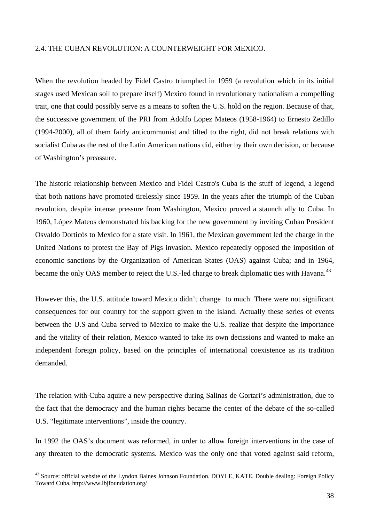### 2.4. THE CUBAN REVOLUTION: A COUNTERWEIGHT FOR MEXICO.

When the revolution headed by Fidel Castro triumphed in 1959 (a revolution which in its initial stages used Mexican soil to prepare itself) Mexico found in revolutionary nationalism a compelling trait, one that could possibly serve as a means to soften the U.S. hold on the region. Because of that, the successive government of the PRI from Adolfo Lopez Mateos (1958-1964) to Ernesto Zedillo (1994-2000), all of them fairly anticommunist and tilted to the right, did not break relations with socialist Cuba as the rest of the Latin American nations did, either by their own decision, or because of Washington's preassure.

The historic relationship between Mexico and Fidel Castro's Cuba is the stuff of legend, a legend that both nations have promoted tirelessly since 1959. In the years after the triumph of the Cuban revolution, despite intense pressure from Washington, Mexico proved a staunch ally to Cuba. In 1960, López Mateos demonstrated his backing for the new government by inviting Cuban President Osvaldo Dorticós to Mexico for a state visit. In 1961, the Mexican government led the charge in the United Nations to protest the Bay of Pigs invasion. Mexico repeatedly opposed the imposition of economic sanctions by the Organization of American States (OAS) against Cuba; and in 1964, became the only OAS member to reject the U.S.-led charge to break diplomatic ties with Havana.<sup>[43](#page-37-0)</sup>

However this, the U.S. attitude toward Mexico didn't change to much. There were not significant consequences for our country for the support given to the island. Actually these series of events between the U.S and Cuba served to Mexico to make the U.S. realize that despite the importance and the vitality of their relation, Mexico wanted to take its own decissions and wanted to make an independent foreign policy, based on the principles of international coexistence as its tradition demanded.

The relation with Cuba aquire a new perspective during Salinas de Gortari's administration, due to the fact that the democracy and the human rights became the center of the debate of the so-called U.S. "legitimate interventions", inside the country.

In 1992 the OAS's document was reformed, in order to allow foreign interventions in the case of any threaten to the democratic systems. Mexico was the only one that voted against said reform,

<span id="page-37-0"></span><sup>&</sup>lt;sup>43</sup> Source: official website of the Lyndon Baines Johnson Foundation. DOYLE, KATE. Double dealing: Foreign Policy Toward Cuba. http://www.lbjfoundation.org/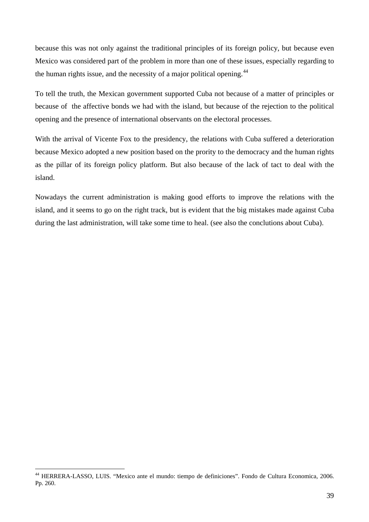because this was not only against the traditional principles of its foreign policy, but because even Mexico was considered part of the problem in more than one of these issues, especially regarding to the human rights issue, and the necessity of a major political opening.<sup>[44](#page-38-0)</sup>

To tell the truth, the Mexican government supported Cuba not because of a matter of principles or because of the affective bonds we had with the island, but because of the rejection to the political opening and the presence of international observants on the electoral processes.

With the arrival of Vicente Fox to the presidency, the relations with Cuba suffered a deterioration because Mexico adopted a new position based on the prority to the democracy and the human rights as the pillar of its foreign policy platform. But also because of the lack of tact to deal with the island.

Nowadays the current administration is making good efforts to improve the relations with the island, and it seems to go on the right track, but is evident that the big mistakes made against Cuba during the last administration, will take some time to heal. (see also the conclutions about Cuba).

<span id="page-38-0"></span><sup>44</sup> HERRERA-LASSO, LUIS. "Mexico ante el mundo: tiempo de definiciones". Fondo de Cultura Economica, 2006. Pp. 260.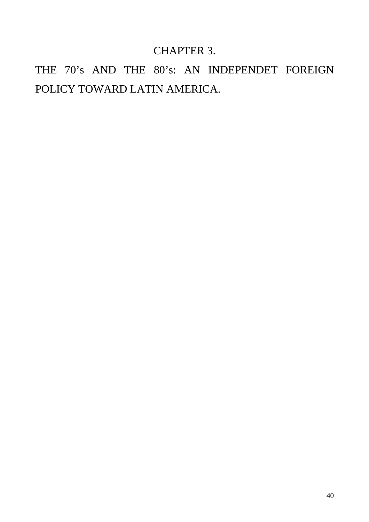## CHAPTER 3.

THE 70's AND THE 80's: AN INDEPENDET FOREIGN POLICY TOWARD LATIN AMERICA.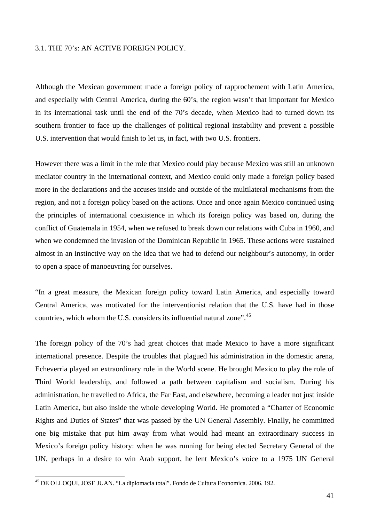### 3.1. THE 70's: AN ACTIVE FOREIGN POLICY.

Although the Mexican government made a foreign policy of rapprochement with Latin America, and especially with Central America, during the 60's, the region wasn't that important for Mexico in its international task until the end of the 70's decade, when Mexico had to turned down its southern frontier to face up the challenges of political regional instability and prevent a possible U.S. intervention that would finish to let us, in fact, with two U.S. frontiers.

However there was a limit in the role that Mexico could play because Mexico was still an unknown mediator country in the international context, and Mexico could only made a foreign policy based more in the declarations and the accuses inside and outside of the multilateral mechanisms from the region, and not a foreign policy based on the actions. Once and once again Mexico continued using the principles of international coexistence in which its foreign policy was based on, during the conflict of Guatemala in 1954, when we refused to break down our relations with Cuba in 1960, and when we condemned the invasion of the Dominican Republic in 1965. These actions were sustained almost in an instinctive way on the idea that we had to defend our neighbour's autonomy, in order to open a space of manoeuvring for ourselves.

"In a great measure, the Mexican foreign policy toward Latin America, and especially toward Central America, was motivated for the interventionist relation that the U.S. have had in those countries, which whom the U.S. considers its influential natural zone".<sup>[45](#page-40-0)</sup>

The foreign policy of the 70's had great choices that made Mexico to have a more significant international presence. Despite the troubles that plagued his administration in the domestic arena, Echeverria played an extraordinary role in the World scene. He brought Mexico to play the role of Third World leadership, and followed a path between capitalism and socialism. During his administration, he travelled to Africa, the Far East, and elsewhere, becoming a leader not just inside Latin America, but also inside the whole developing World. He promoted a "Charter of Economic Rights and Duties of States" that was passed by the UN General Assembly. Finally, he committed one big mistake that put him away from what would had meant an extraordinary success in Mexico's foreign policy history: when he was running for being elected Secretary General of the UN, perhaps in a desire to win Arab support, he lent Mexico's voice to a 1975 UN General

<span id="page-40-0"></span><sup>&</sup>lt;sup>45</sup> DE OLLOQUI, JOSE JUAN. "La diplomacia total". Fondo de Cultura Economica. 2006. 192.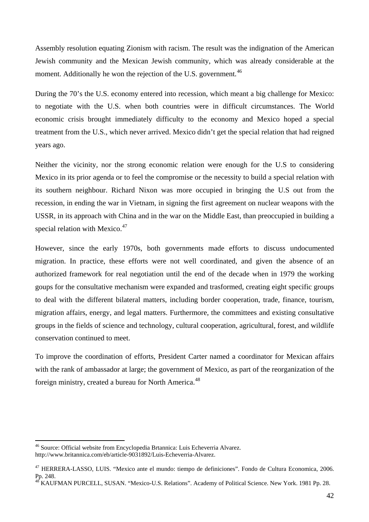Assembly resolution equating Zionism with racism. The result was the indignation of the American Jewish community and the Mexican Jewish community, which was already considerable at the moment. Additionally he won the rejection of the U.S. government.<sup>[46](#page-41-0)</sup>

During the 70's the U.S. economy entered into recession, which meant a big challenge for Mexico: to negotiate with the U.S. when both countries were in difficult circumstances. The World economic crisis brought immediately difficulty to the economy and Mexico hoped a special treatment from the U.S., which never arrived. Mexico didn't get the special relation that had reigned years ago.

Neither the vicinity, nor the strong economic relation were enough for the U.S to considering Mexico in its prior agenda or to feel the compromise or the necessity to build a special relation with its southern neighbour. Richard Nixon was more occupied in bringing the U.S out from the recession, in ending the war in Vietnam, in signing the first agreement on nuclear weapons with the USSR, in its approach with China and in the war on the Middle East, than preoccupied in building a special relation with Mexico. $47$ 

However, since the early 1970s, both governments made efforts to discuss undocumented migration. In practice, these efforts were not well coordinated, and given the absence of an authorized framework for real negotiation until the end of the decade when in 1979 the working goups for the consultative mechanism were expanded and trasformed, creating eight specific groups to deal with the different bilateral matters, including border cooperation, trade, finance, tourism, migration affairs, energy, and legal matters. Furthermore, the committees and existing consultative groups in the fields of science and technology, cultural cooperation, agricultural, forest, and wildlife conservation continued to meet.

To improve the coordination of efforts, President Carter named a coordinator for Mexican affairs with the rank of ambassador at large; the government of Mexico, as part of the reorganization of the foreign ministry, created a bureau for North America.<sup>[48](#page-41-2)</sup>

<span id="page-41-0"></span><sup>46</sup> Source: Official website from Encyclopedia Brtannica: Luis Echeverria Alvarez.

http://www.britannica.com/eb/article-9031892/Luis-Echeverria-Alvarez.

<span id="page-41-1"></span><sup>47</sup> HERRERA-LASSO, LUIS. "Mexico ante el mundo: tiempo de definiciones". Fondo de Cultura Economica, 2006. Pp. 248.

<span id="page-41-2"></span><sup>&</sup>lt;sup>48</sup> KAUFMAN PURCELL, SUSAN. "Mexico-U.S. Relations". Academy of Political Science. New York. 1981 Pp. 28.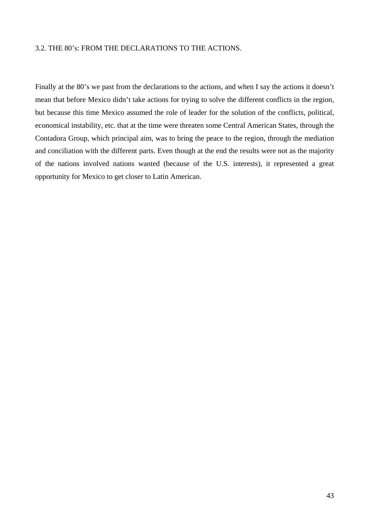### 3.2. THE 80's: FROM THE DECLARATIONS TO THE ACTIONS.

Finally at the 80's we past from the declarations to the actions, and when I say the actions it doesn't mean that before Mexico didn't take actions for trying to solve the different conflicts in the region, but because this time Mexico assumed the role of leader for the solution of the conflicts, political, economical instability, etc. that at the time were threaten some Central American States, through the Contadora Group, which principal aim, was to bring the peace to the region, through the mediation and conciliation with the different parts. Even though at the end the results were not as the majority of the nations involved nations wanted (because of the U.S. interests), it represented a great opportunity for Mexico to get closer to Latin American.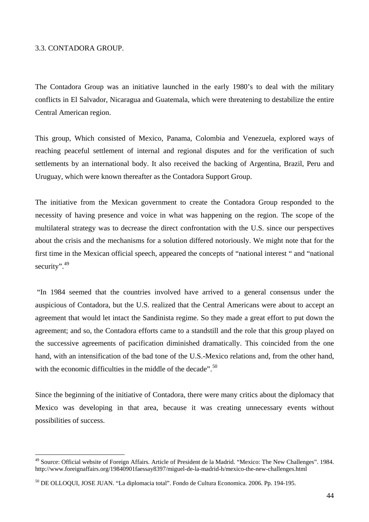### 3.3. CONTADORA GROUP.

 $\overline{a}$ 

The Contadora Group was an initiative launched in the early 1980's to deal with the military conflicts in El Salvador, Nicaragua and Guatemala, which were threatening to destabilize the entire Central American region.

This group, Which consisted of Mexico, Panama, Colombia and Venezuela, explored ways of reaching peaceful settlement of internal and regional disputes and for the verification of such settlements by an international body. It also received the backing of Argentina, Brazil, Peru and Uruguay, which were known thereafter as the Contadora Support Group.

The initiative from the Mexican government to create the Contadora Group responded to the necessity of having presence and voice in what was happening on the region. The scope of the multilateral strategy was to decrease the direct confrontation with the U.S. since our perspectives about the crisis and the mechanisms for a solution differed notoriously. We might note that for the first time in the Mexican official speech, appeared the concepts of "national interest " and "national security".<sup>[49](#page-43-0)</sup>

 "In 1984 seemed that the countries involved have arrived to a general consensus under the auspicious of Contadora, but the U.S. realized that the Central Americans were about to accept an agreement that would let intact the Sandinista regime. So they made a great effort to put down the agreement; and so, the Contadora efforts came to a standstill and the role that this group played on the successive agreements of pacification diminished dramatically. This coincided from the one hand, with an intensification of the bad tone of the U.S.-Mexico relations and, from the other hand, with the economic difficulties in the middle of the decade". <sup>[50](#page-43-1)</sup>

Since the beginning of the initiative of Contadora, there were many critics about the diplomacy that Mexico was developing in that area, because it was creating unnecessary events without possibilities of success.

<span id="page-43-0"></span><sup>&</sup>lt;sup>49</sup> Source: Official website of Foreign Affairs. Article of President de la Madrid. "Mexico: The New Challenges". 1984. http://www.foreignaffairs.org/19840901faessay8397/miguel-de-la-madrid-h/mexico-the-new-challenges.html

<span id="page-43-1"></span><sup>50</sup> DE OLLOQUI, JOSE JUAN. "La diplomacia total". Fondo de Cultura Economica. 2006. Pp. 194-195.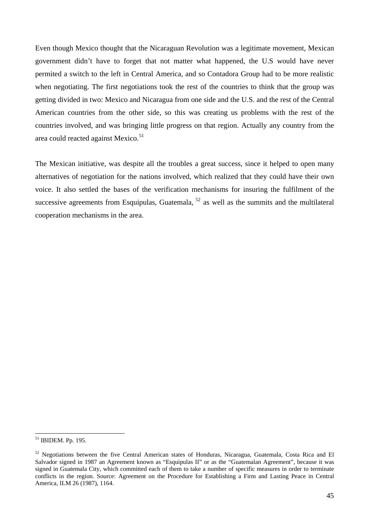Even though Mexico thought that the Nicaraguan Revolution was a legitimate movement, Mexican government didn't have to forget that not matter what happened, the U.S would have never permited a switch to the left in Central America, and so Contadora Group had to be more realistic when negotiating. The first negotiations took the rest of the countries to think that the group was getting divided in two: Mexico and Nicaragua from one side and the U.S. and the rest of the Central American countries from the other side, so this was creating us problems with the rest of the countries involved, and was bringing little progress on that region. Actually any country from the area could reacted against Mexico.<sup>[51](#page-44-0)</sup>

The Mexican initiative, was despite all the troubles a great success, since it helped to open many alternatives of negotiation for the nations involved, which realized that they could have their own voice. It also settled the bases of the verification mechanisms for insuring the fulfilment of the successive agreements from Esquipulas, Guatemala,  $52$  as well as the summits and the multilateral cooperation mechanisms in the area.

<span id="page-44-0"></span><sup>51</sup> IBIDEM. Pp. 195.

<span id="page-44-1"></span><sup>&</sup>lt;sup>52</sup> Negotiations between the five Central American states of Honduras, Nicaragua, Guatemala, Costa Rica and El Salvador signed in 1987 an Agreement known as "Esquipulas II" or as the "Guatemalan Agreement", because it was signed in Guatemala City, which committed each of them to take a number of specific measures in order to terminate conflicts in the region. Source: Agreement on the Procedure for Establishing a Firm and Lasting Peace in Central America, ILM 26 (1987), 1164.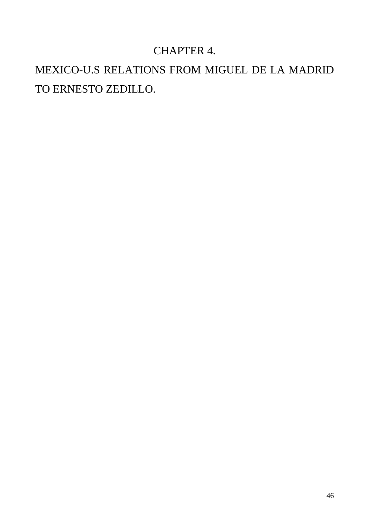# CHAPTER 4.

# MEXICO-U.S RELATIONS FROM MIGUEL DE LA MADRID TO ERNESTO ZEDILLO.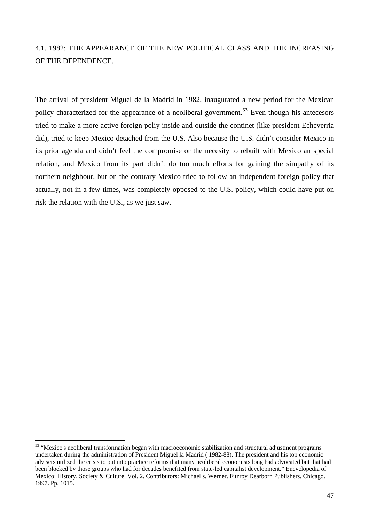### 4.1. 1982: THE APPEARANCE OF THE NEW POLITICAL CLASS AND THE INCREASING OF THE DEPENDENCE.

The arrival of president Miguel de la Madrid in 1982, inaugurated a new period for the Mexican policy characterized for the appearance of a neoliberal government.<sup>[53](#page-46-0)</sup> Even though his antecesors tried to make a more active foreign poliy inside and outside the continet (like president Echeverria did), tried to keep Mexico detached from the U.S. Also because the U.S. didn't consider Mexico in its prior agenda and didn't feel the compromise or the necesity to rebuilt with Mexico an special relation, and Mexico from its part didn't do too much efforts for gaining the simpathy of its northern neighbour, but on the contrary Mexico tried to follow an independent foreign policy that actually, not in a few times, was completely opposed to the U.S. policy, which could have put on risk the relation with the U.S., as we just saw.

<span id="page-46-0"></span><sup>&</sup>lt;sup>53</sup> "Mexico's neoliberal transformation began with macroeconomic stabilization and structural adjustment programs undertaken during the administration of President Miguel la Madrid ( 1982-88). The president and his top economic advisers utilized the crisis to put into practice reforms that many neoliberal economists long had advocated but that had been blocked by those groups who had for decades benefited from state-led capitalist development." Encyclopedia of Mexico: History, Society & Culture. Vol. 2. Contributors: Michael s. Werner. Fitzroy Dearborn Publishers. Chicago. 1997. Pp. 1015.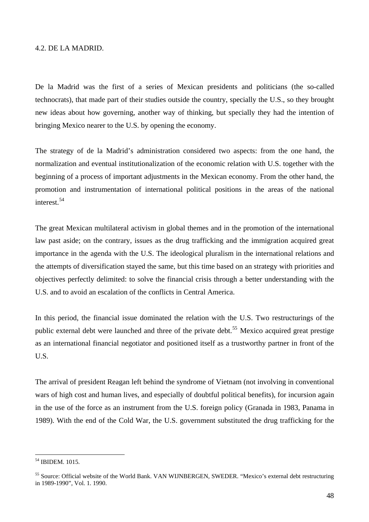#### 4.2. DE LA MADRID.

De la Madrid was the first of a series of Mexican presidents and politicians (the so-called technocrats), that made part of their studies outside the country, specially the U.S., so they brought new ideas about how governing, another way of thinking, but specially they had the intention of bringing Mexico nearer to the U.S. by opening the economy.

The strategy of de la Madrid's administration considered two aspects: from the one hand, the normalization and eventual institutionalization of the economic relation with U.S. together with the beginning of a process of important adjustments in the Mexican economy. From the other hand, the promotion and instrumentation of international political positions in the areas of the national interest<sup>[54](#page-47-0)</sup>

The great Mexican multilateral activism in global themes and in the promotion of the international law past aside; on the contrary, issues as the drug trafficking and the immigration acquired great importance in the agenda with the U.S. The ideological pluralism in the international relations and the attempts of diversification stayed the same, but this time based on an strategy with priorities and objectives perfectly delimited: to solve the financial crisis through a better understanding with the U.S. and to avoid an escalation of the conflicts in Central America.

In this period, the financial issue dominated the relation with the U.S. Two restructurings of the public external debt were launched and three of the private debt.<sup>[55](#page-47-1)</sup> Mexico acquired great prestige as an international financial negotiator and positioned itself as a trustworthy partner in front of the U.S.

The arrival of president Reagan left behind the syndrome of Vietnam (not involving in conventional wars of high cost and human lives, and especially of doubtful political benefits), for incursion again in the use of the force as an instrument from the U.S. foreign policy (Granada in 1983, Panama in 1989). With the end of the Cold War, the U.S. government substituted the drug trafficking for the

<span id="page-47-0"></span><sup>54</sup> IBIDEM. 1015.

<span id="page-47-1"></span><sup>55</sup> Source: Official website of the World Bank. VAN WIJNBERGEN, SWEDER. "Mexico's external debt restructuring in 1989-1990", Vol. 1. 1990.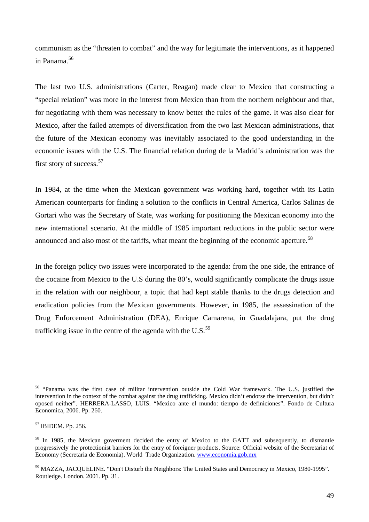communism as the "threaten to combat" and the way for legitimate the interventions, as it happened in Panama.[56](#page-48-0)

The last two U.S. administrations (Carter, Reagan) made clear to Mexico that constructing a "special relation" was more in the interest from Mexico than from the northern neighbour and that, for negotiating with them was necessary to know better the rules of the game. It was also clear for Mexico, after the failed attempts of diversification from the two last Mexican administrations, that the future of the Mexican economy was inevitably associated to the good understanding in the economic issues with the U.S. The financial relation during de la Madrid's administration was the first story of success.<sup>[57](#page-48-1)</sup>

In 1984, at the time when the Mexican government was working hard, together with its Latin American counterparts for finding a solution to the conflicts in Central America, Carlos Salinas de Gortari who was the Secretary of State, was working for positioning the Mexican economy into the new international scenario. At the middle of 1985 important reductions in the public sector were announced and also most of the tariffs, what meant the beginning of the economic aperture.<sup>[58](#page-48-2)</sup>

In the foreign policy two issues were incorporated to the agenda: from the one side, the entrance of the cocaine from Mexico to the U.S during the 80's, would significantly complicate the drugs issue in the relation with our neighbour, a topic that had kept stable thanks to the drugs detection and eradication policies from the Mexican governments. However, in 1985, the assassination of the Drug Enforcement Administration (DEA), Enrique Camarena, in Guadalajara, put the drug trafficking issue in the centre of the agenda with the U.S. $^{59}$  $^{59}$  $^{59}$ 

<span id="page-48-0"></span><sup>56 &</sup>quot;Panama was the first case of militar intervention outside the Cold War framework. The U.S. justified the intervention in the context of the combat against the drug trafficking. Mexico didn't endorse the intervention, but didn't oposed neither". HERRERA-LASSO, LUIS. "Mexico ante el mundo: tiempo de definiciones". Fondo de Cultura Economica, 2006. Pp. 260.

<span id="page-48-1"></span><sup>57</sup> IBIDEM. Pp. 256.

<span id="page-48-2"></span><sup>&</sup>lt;sup>58</sup> In 1985, the Mexican goverment decided the entry of Mexico to the GATT and subsequently, to dismantle progressively the protectionist barriers for the entry of foreigner products. Source: Official website of the Secretariat of Economy (Secretaria de Economia). World Trade Organization. [www.economia.gob.mx](http://www.economia.gob.mx/) 

<span id="page-48-3"></span><sup>59</sup> MAZZA, JACQUELINE. "Don't Disturb the Neighbors: The United States and Democracy in Mexico, 1980-1995". Routledge. London. 2001. Pp. 31.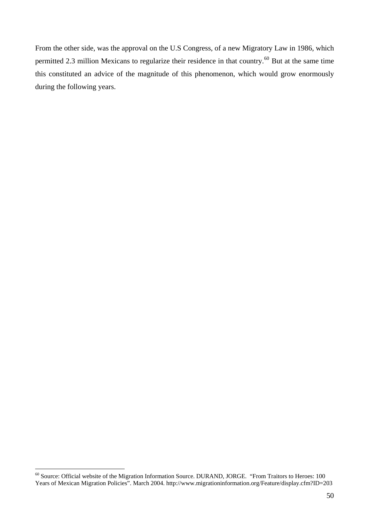From the other side, was the approval on the U.S Congress, of a new Migratory Law in 1986, which permitted 2.3 million Mexicans to regularize their residence in that country.<sup>[60](#page-49-0)</sup> But at the same time this constituted an advice of the magnitude of this phenomenon, which would grow enormously during the following years.

<span id="page-49-0"></span><sup>&</sup>lt;sup>60</sup> Source: Official website of the Migration Information Source. DURAND, JORGE. "From Traitors to Heroes: 100 Years of Mexican Migration Policies". March 2004. http://www.migrationinformation.org/Feature/display.cfm?ID=203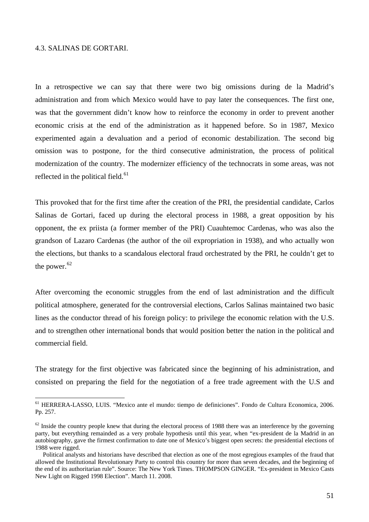### 4.3. SALINAS DE GORTARI.

 $\overline{a}$ 

In a retrospective we can say that there were two big omissions during de la Madrid's administration and from which Mexico would have to pay later the consequences. The first one, was that the government didn't know how to reinforce the economy in order to prevent another economic crisis at the end of the administration as it happened before. So in 1987, Mexico experimented again a devaluation and a period of economic destabilization. The second big omission was to postpone, for the third consecutive administration, the process of political modernization of the country. The modernizer efficiency of the technocrats in some areas, was not reflected in the political field.<sup>[61](#page-50-0)</sup>

This provoked that for the first time after the creation of the PRI, the presidential candidate, Carlos Salinas de Gortari, faced up during the electoral process in 1988, a great opposition by his opponent, the ex priista (a former member of the PRI) Cuauhtemoc Cardenas, who was also the grandson of Lazaro Cardenas (the author of the oil expropriation in 1938), and who actually won the elections, but thanks to a scandalous electoral fraud orchestrated by the PRI, he couldn't get to the power.<sup>[62](#page-50-1)</sup>

After overcoming the economic struggles from the end of last administration and the difficult political atmosphere, generated for the controversial elections, Carlos Salinas maintained two basic lines as the conductor thread of his foreign policy: to privilege the economic relation with the U.S. and to strengthen other international bonds that would position better the nation in the political and commercial field.

The strategy for the first objective was fabricated since the beginning of his administration, and consisted on preparing the field for the negotiation of a free trade agreement with the U.S and

<span id="page-50-0"></span><sup>61</sup> HERRERA-LASSO, LUIS. "Mexico ante el mundo: tiempo de definiciones". Fondo de Cultura Economica, 2006. Pp. 257.

<span id="page-50-1"></span> $62$  Inside the country people knew that during the electoral process of 1988 there was an interference by the governing party, but everything remainded as a very probale hypothesis until this year, when "ex-president de la Madrid in an autobiography, gave the firmest confirmation to date one of Mexico's biggest open secrets: the presidential elections of 1988 were rigged.

Political analysts and historians have described that election as one of the most egregious examples of the fraud that allowed the Institutional Revolutionary Party to control this country for more than seven decades, and the beginning of the end of its authoritarian rule". Source: The New York Times. THOMPSON GINGER. "Ex-president in Mexico Casts New Light on Rigged 1998 Election". March 11. 2008.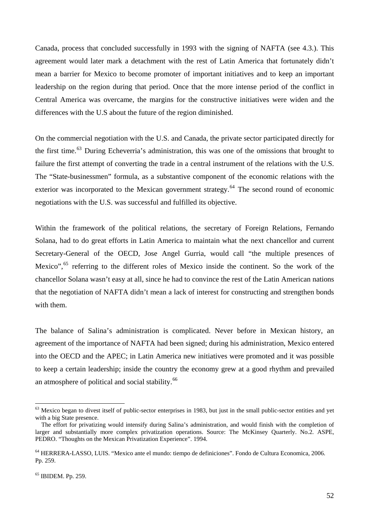Canada, process that concluded successfully in 1993 with the signing of NAFTA (see 4.3.). This agreement would later mark a detachment with the rest of Latin America that fortunately didn't mean a barrier for Mexico to become promoter of important initiatives and to keep an important leadership on the region during that period. Once that the more intense period of the conflict in Central America was overcame, the margins for the constructive initiatives were widen and the differences with the U.S about the future of the region diminished.

On the commercial negotiation with the U.S. and Canada, the private sector participated directly for the first time.<sup>[63](#page-51-0)</sup> During Echeverria's administration, this was one of the omissions that brought to failure the first attempt of converting the trade in a central instrument of the relations with the U.S. The "State-businessmen" formula, as a substantive component of the economic relations with the exterior was incorporated to the Mexican government strategy.<sup>[64](#page-51-1)</sup> The second round of economic negotiations with the U.S. was successful and fulfilled its objective.

Within the framework of the political relations, the secretary of Foreign Relations, Fernando Solana, had to do great efforts in Latin America to maintain what the next chancellor and current Secretary-General of the OECD, Jose Angel Gurria, would call "the multiple presences of Mexico",<sup>[65](#page-51-2)</sup> referring to the different roles of Mexico inside the continent. So the work of the chancellor Solana wasn't easy at all, since he had to convince the rest of the Latin American nations that the negotiation of NAFTA didn't mean a lack of interest for constructing and strengthen bonds with them.

The balance of Salina's administration is complicated. Never before in Mexican history, an agreement of the importance of NAFTA had been signed; during his administration, Mexico entered into the OECD and the APEC; in Latin America new initiatives were promoted and it was possible to keep a certain leadership; inside the country the economy grew at a good rhythm and prevailed an atmosphere of political and social stability.<sup>[66](#page-51-3)</sup>

<span id="page-51-0"></span> $63$  Mexico began to divest itself of public-sector enterprises in 1983, but just in the small public-sector entities and yet with a big State presence.

The effort for privatizing would intensify during Salina's administration, and would finish with the completion of larger and substantially more complex privatization operations. Source: The McKinsey Quarterly. No.2. ASPE, PEDRO. "Thoughts on the Mexican Privatization Experience". 1994.

<span id="page-51-1"></span><sup>64</sup> HERRERA-LASSO, LUIS. "Mexico ante el mundo: tiempo de definiciones". Fondo de Cultura Economica, 2006. Pp. 259.

<span id="page-51-3"></span><span id="page-51-2"></span><sup>65</sup> IBIDEM. Pp. 259.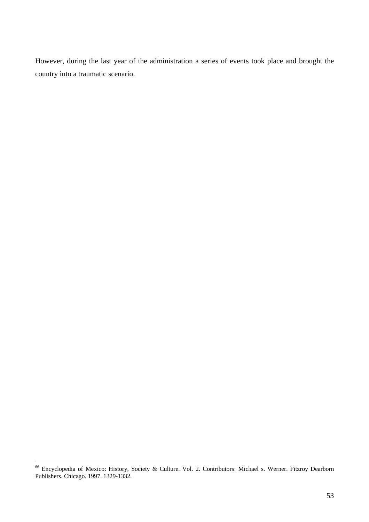However, during the last year of the administration a series of events took place and brought the country into a traumatic scenario.

 <sup>66</sup> Encyclopedia of Mexico: History, Society & Culture. Vol. 2. Contributors: Michael s. Werner. Fitzroy Dearborn Publishers. Chicago. 1997. 1329-1332.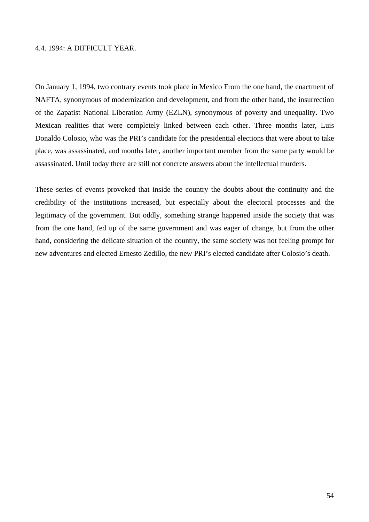### 4.4. 1994: A DIFFICULT YEAR.

On January 1, 1994, two contrary events took place in Mexico From the one hand, the enactment of NAFTA, synonymous of modernization and development, and from the other hand, the insurrection of the Zapatist National Liberation Army (EZLN), synonymous of poverty and unequality. Two Mexican realities that were completely linked between each other. Three months later, Luis Donaldo Colosio, who was the PRI's candidate for the presidential elections that were about to take place, was assassinated, and months later, another important member from the same party would be assassinated. Until today there are still not concrete answers about the intellectual murders.

These series of events provoked that inside the country the doubts about the continuity and the credibility of the institutions increased, but especially about the electoral processes and the legitimacy of the government. But oddly, something strange happened inside the society that was from the one hand, fed up of the same government and was eager of change, but from the other hand, considering the delicate situation of the country, the same society was not feeling prompt for new adventures and elected Ernesto Zedillo, the new PRI's elected candidate after Colosio's death.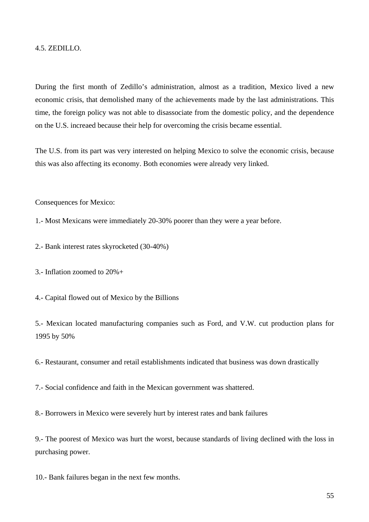### 4.5. ZEDILLO.

During the first month of Zedillo's administration, almost as a tradition, Mexico lived a new economic crisis, that demolished many of the achievements made by the last administrations. This time, the foreign policy was not able to disassociate from the domestic policy, and the dependence on the U.S. increaed because their help for overcoming the crisis became essential.

The U.S. from its part was very interested on helping Mexico to solve the economic crisis, because this was also affecting its economy. Both economies were already very linked.

Consequences for Mexico:

1.- Most Mexicans were immediately 20-30% poorer than they were a year before.

2.- Bank interest rates skyrocketed (30-40%)

3.- Inflation zoomed to 20%+

4.- Capital flowed out of Mexico by the Billions

5.- Mexican located manufacturing companies such as Ford, and V.W. cut production plans for 1995 by 50%

6.- Restaurant, consumer and retail establishments indicated that business was down drastically

7.- Social confidence and faith in the Mexican government was shattered.

8.- Borrowers in Mexico were severely hurt by interest rates and bank failures

9.- The poorest of Mexico was hurt the worst, because standards of living declined with the loss in purchasing power.

10.- Bank failures began in the next few months.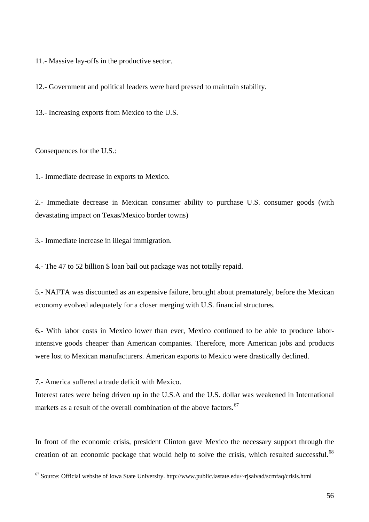11.- Massive lay-offs in the productive sector.

12.- Government and political leaders were hard pressed to maintain stability.

13.- Increasing exports from Mexico to the U.S.

Consequences for the U.S.:

1.- Immediate decrease in exports to Mexico.

2.- Immediate decrease in Mexican consumer ability to purchase U.S. consumer goods (with devastating impact on Texas/Mexico border towns)

3.- Immediate increase in illegal immigration.

4.- The 47 to 52 billion \$ loan bail out package was not totally repaid.

5.- NAFTA was discounted as an expensive failure, brought about prematurely, before the Mexican economy evolved adequately for a closer merging with U.S. financial structures.

6.- With labor costs in Mexico lower than ever, Mexico continued to be able to produce laborintensive goods cheaper than American companies. Therefore, more American jobs and products were lost to Mexican manufacturers. American exports to Mexico were drastically declined.

7.- America suffered a trade deficit with Mexico.

 $\overline{a}$ 

Interest rates were being driven up in the U.S.A and the U.S. dollar was weakened in International markets as a result of the overall combination of the above factors.<sup>[67](#page-55-0)</sup>

<span id="page-55-1"></span>In front of the economic crisis, president Clinton gave Mexico the necessary support through the creation of an economic package that would help to solve the crisis, which resulted successful.<sup>[68](#page-55-1)</sup>

<span id="page-55-0"></span> $67$  Source: Official website of Iowa State University. http://www.public.iastate.edu/~rjsalvad/scmfaq/crisis.html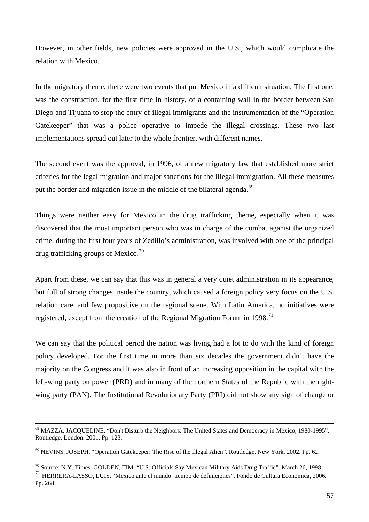However, in other fields, new policies were approved in the U.S., which would complicate the relation with Mexico.

In the migratory theme, there were two events that put Mexico in a difficult situation. The first one, was the construction, for the first time in history, of a containing wall in the border between San Diego and Tijuana to stop the entry of illegal immigrants and the instrumentation of the "Operation" Gatekeeper" that was a police operative to impede the illegal crossings. These two last implementations spread out later to the whole frontier, with different names.

The second event was the approval, in 1996, of a new migratory law that established more strict criteries for the legal migration and major sanctions for the illegal immigration. All these measures put the border and migration issue in the middle of the bilateral agenda.<sup>[69](#page-56-0)</sup>

Things were neither easy for Mexico in the drug trafficking theme, especially when it was discovered that the most important person who was in charge of the combat aganist the organized crime, during the first four years of Zedillo's administration, was involved with one of the principal drug trafficking groups of Mexico.<sup>[70](#page-56-1)</sup>

Apart from these, we can say that this was in general a very quiet administration in its appearance, but full of strong changes inside the country, which caused a foreign policy very focus on the U.S. relation care, and few propositive on the regional scene. With Latin America, no initiatives were registered, except from the creation of the Regional Migration Forum in 1998.<sup>[71](#page-56-2)</sup>

We can say that the political period the nation was living had a lot to do with the kind of foreign policy developed. For the first time in more than six decades the government didn't have the majority on the Congress and it was also in front of an increasing opposition in the capital with the left-wing party on power (PRD) and in many of the northern States of the Republic with the rightwing party (PAN). The Institutional Revolutionary Party (PRI) did not show any sign of change or

 <sup>68</sup> MAZZA, JACQUELINE. "Don't Disturb the Neighbors: The United States and Democracy in Mexico, 1980-1995". Routledge. London. 2001. Pp. 123.

<span id="page-56-0"></span><sup>69</sup> NEVINS. JOSEPH. "Operation Gatekeeper: The Rise of the Illegal Alien". Routledge. New York. 2002. Pp. 62.

<span id="page-56-1"></span><sup>70</sup> Source: N.Y. Times. GOLDEN, TIM. "U.S. Officials Say Mexican Military Aids Drug Traffic". March 26, 1998.

<span id="page-56-2"></span><sup>71</sup> HERRERA-LASSO, LUIS. "Mexico ante el mundo: tiempo de definiciones". Fondo de Cultura Economica, 2006. Pp. 268.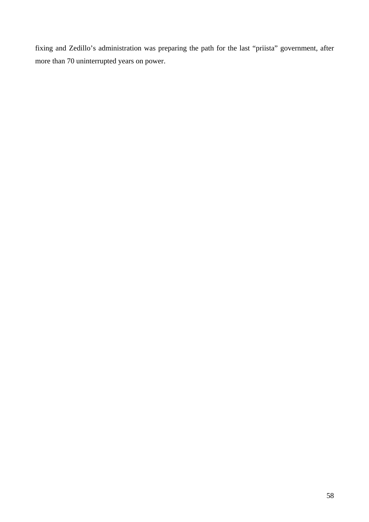fixing and Zedillo's administration was preparing the path for the last "priista" government, after more than 70 uninterrupted years on power.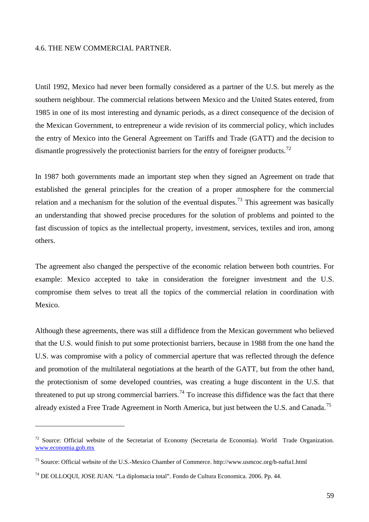### 4.6. THE NEW COMMERCIAL PARTNER.

Until 1992, Mexico had never been formally considered as a partner of the U.S. but merely as the southern neighbour. The commercial relations between Mexico and the United States entered, from 1985 in one of its most interesting and dynamic periods, as a direct consequence of the decision of the Mexican Government, to entrepreneur a wide revision of its commercial policy, which includes the entry of Mexico into the General Agreement on Tariffs and Trade (GATT) and the decision to dismantle progressively the protectionist barriers for the entry of foreigner products.<sup>[72](#page-58-0)</sup>

In 1987 both governments made an important step when they signed an Agreement on trade that established the general principles for the creation of a proper atmosphere for the commercial relation and a mechanism for the solution of the eventual disputes.<sup>[73](#page-58-1)</sup> This agreement was basically an understanding that showed precise procedures for the solution of problems and pointed to the fast discussion of topics as the intellectual property, investment, services, textiles and iron, among others.

The agreement also changed the perspective of the economic relation between both countries. For example: Mexico accepted to take in consideration the foreigner investment and the U.S. compromise them selves to treat all the topics of the commercial relation in coordination with Mexico.

Although these agreements, there was still a diffidence from the Mexican government who believed that the U.S. would finish to put some protectionist barriers, because in 1988 from the one hand the U.S. was compromise with a policy of commercial aperture that was reflected through the defence and promotion of the multilateral negotiations at the hearth of the GATT, but from the other hand, the protectionism of some developed countries, was creating a huge discontent in the U.S. that threatened to put up strong commercial barriers.<sup>[74](#page-58-2)</sup> To increase this diffidence was the fact that there already existed a Free Trade Agreement in North America, but just between the U.S. and Canada.<sup>[75](#page-58-0)</sup>

<span id="page-58-0"></span><sup>&</sup>lt;sup>72</sup> Source: Official website of the Secretariat of Economy (Secretaria de Economia). World Trade Organization. [www.economia.gob.mx](http://www.economia.gob.mx/) 

<span id="page-58-1"></span><sup>73</sup> Source: Official website of the U.S.-Mexico Chamber of Commerce. http://www.usmcoc.org/b-nafta1.html

<span id="page-58-2"></span><sup>74</sup> DE OLLOQUI, JOSE JUAN. "La diplomacia total". Fondo de Cultura Economica. 2006. Pp. 44.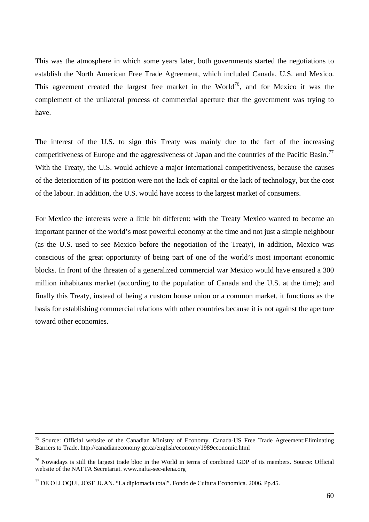This was the atmosphere in which some years later, both governments started the negotiations to establish the North American Free Trade Agreement, which included Canada, U.S. and Mexico. This agreement created the largest free market in the World<sup>[76](#page-59-0)</sup>, and for Mexico it was the complement of the unilateral process of commercial aperture that the government was trying to have.

The interest of the U.S. to sign this Treaty was mainly due to the fact of the increasing competitiveness of Europe and the aggressiveness of Japan and the countries of the Pacific Basin.<sup>[77](#page-59-1)</sup> With the Treaty, the U.S. would achieve a major international competitiveness, because the causes of the deterioration of its position were not the lack of capital or the lack of technology, but the cost of the labour. In addition, the U.S. would have access to the largest market of consumers.

For Mexico the interests were a little bit different: with the Treaty Mexico wanted to become an important partner of the world's most powerful economy at the time and not just a simple neighbour (as the U.S. used to see Mexico before the negotiation of the Treaty), in addition, Mexico was conscious of the great opportunity of being part of one of the world's most important economic blocks. In front of the threaten of a generalized commercial war Mexico would have ensured a 300 million inhabitants market (according to the population of Canada and the U.S. at the time); and finally this Treaty, instead of being a custom house union or a common market, it functions as the basis for establishing commercial relations with other countries because it is not against the aperture toward other economies.

<sup>&</sup>lt;sup>75</sup> Source: Official website of the Canadian Ministry of Economy. Canada-US Free Trade Agreement: Eliminating Barriers to Trade. http://canadianeconomy.gc.ca/english/economy/1989economic.html

<span id="page-59-0"></span><sup>&</sup>lt;sup>76</sup> Nowadays is still the largest trade bloc in the World in terms of combined GDP of its members. Source: Official website of the NAFTA Secretariat. www.nafta-sec-alena.org

<span id="page-59-1"></span><sup>77</sup> DE OLLOQUI, JOSE JUAN. "La diplomacia total". Fondo de Cultura Economica. 2006. Pp.45.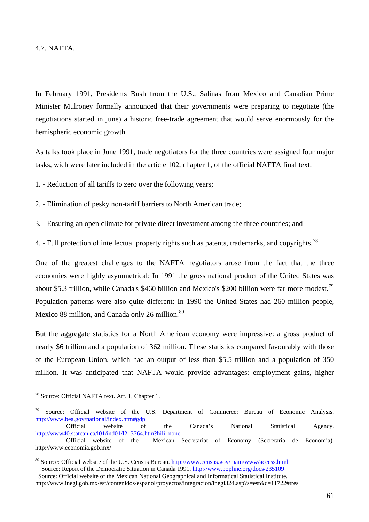In February 1991, Presidents Bush from the U.S., Salinas from Mexico and Canadian Prime Minister Mulroney formally announced that their governments were preparing to negotiate (the negotiations started in june) a historic free-trade agreement that would serve enormously for the hemispheric economic growth.

As talks took place in June 1991, trade negotiators for the three countries were assigned four major tasks, wich were later included in the article 102, chapter 1, of the official NAFTA final text:

1. - Reduction of all tariffs to zero over the following years;

2. - Elimination of pesky non-tariff barriers to North American trade;

3. - Ensuring an open climate for private direct investment among the three countries; and

4. - Full protection of intellectual property rights such as patents, trademarks, and copyrights.<sup>[78](#page-60-0)</sup>

One of the greatest challenges to the NAFTA negotiators arose from the fact that the three economies were highly asymmetrical: In 1991 the gross national product of the United States was about \$5.3 trillion, while Canada's \$460 billion and Mexico's \$200 billion were far more modest.<sup>[79](#page-60-1)</sup> Population patterns were also quite different: In 1990 the United States had 260 million people, Mexico 88 million, and Canada only 26 million.<sup>[80](#page-60-2)</sup>

But the aggregate statistics for a North American economy were impressive: a gross product of nearly \$6 trillion and a population of 362 million. These statistics compared favourably with those of the European Union, which had an output of less than \$5.5 trillion and a population of 350 million. It was anticipated that NAFTA would provide advantages: employment gains, higher

<span id="page-60-0"></span><sup>78</sup> Source: Official NAFTA text. Art. 1, Chapter 1.

<span id="page-60-1"></span> $79$  Source: Official website of the U.S. Department of Commerce: Bureau of Economic Analysis. <http://www.bea.gov/national/index.htm#gdp>

Official website of the Canada's National Statistical Agency. [http://www40.statcan.ca/l01/ind01/l2\\_3764.htm?hili\\_none](http://www40.statcan.ca/l01/ind01/l2_3764.htm?hili_none) Official website of the Mexican Secretariat of Economy (Secretaria de Economia). http://www.economia.gob.mx/

<span id="page-60-2"></span><sup>&</sup>lt;sup>80</sup> Source: Official website of the U.S. Census Bureau.<http://www.census.gov/main/www/access.html> Source: Report of the Democratic Situation in Canada 1991. <http://www.popline.org/docs/235109>

Source: Official website of the Mexican National Geographical and Informatical Statistical Institute. http://www.inegi.gob.mx/est/contenidos/espanol/proyectos/integracion/inegi324.asp?s=est&c=11722#tres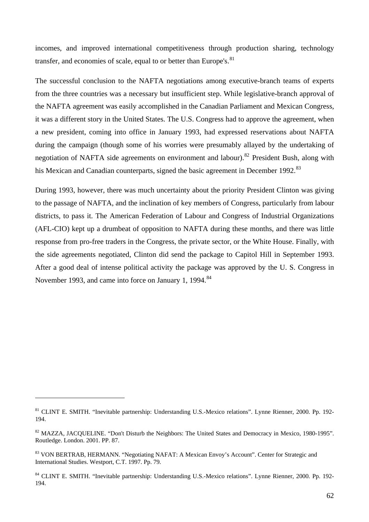incomes, and improved international competitiveness through production sharing, technology transfer, and economies of scale, equal to or better than Europe's. $81$ 

The successful conclusion to the NAFTA negotiations among executive-branch teams of experts from the three countries was a necessary but insufficient step. While legislative-branch approval of the NAFTA agreement was easily accomplished in the Canadian Parliament and Mexican Congress, it was a different story in the United States. The U.S. Congress had to approve the agreement, when a new president, coming into office in January 1993, had expressed reservations about NAFTA during the campaign (though some of his worries were presumably allayed by the undertaking of negotiation of NAFTA side agreements on environment and labour).<sup>[82](#page-61-1)</sup> President Bush, along with his Mexican and Canadian counterparts, signed the basic agreement in December 1992.<sup>[83](#page-61-2)</sup>

During 1993, however, there was much uncertainty about the priority President Clinton was giving to the passage of NAFTA, and the inclination of key members of Congress, particularly from labour districts, to pass it. The American Federation of Labour and Congress of Industrial Organizations (AFL-CIO) kept up a drumbeat of opposition to NAFTA during these months, and there was little response from pro-free traders in the Congress, the private sector, or the White House. Finally, with the side agreements negotiated, Clinton did send the package to Capitol Hill in September 1993. After a good deal of intense political activity the package was approved by the U. S. Congress in November 1993, and came into force on January 1, 1994.<sup>[84](#page-61-3)</sup>

<span id="page-61-0"></span><sup>81</sup> CLINT E. SMITH. "Inevitable partnership: Understanding U.S.-Mexico relations". Lynne Rienner, 2000. Pp. 192- 194.

<span id="page-61-1"></span><sup>&</sup>lt;sup>82</sup> MAZZA, JACQUELINE. "Don't Disturb the Neighbors: The United States and Democracy in Mexico, 1980-1995". Routledge. London. 2001. PP. 87.

<span id="page-61-2"></span><sup>&</sup>lt;sup>83</sup> VON BERTRAB, HERMANN. "Negotiating NAFAT: A Mexican Envoy's Account". Center for Strategic and International Studies. Westport, C.T. 1997. Pp. 79.

<span id="page-61-3"></span><sup>&</sup>lt;sup>84</sup> CLINT E. SMITH. "Inevitable partnership: Understanding U.S.-Mexico relations". Lynne Rienner, 2000. Pp. 192-194.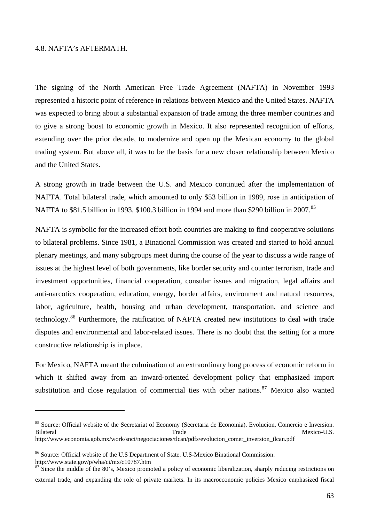### 4.8. NAFTA's AFTERMATH.

 $\overline{a}$ 

The signing of the North American Free Trade Agreement (NAFTA) in November 1993 represented a historic point of reference in relations between Mexico and the United States. NAFTA was expected to bring about a substantial expansion of trade among the three member countries and to give a strong boost to economic growth in Mexico. It also represented recognition of efforts, extending over the prior decade, to modernize and open up the Mexican economy to the global trading system. But above all, it was to be the basis for a new closer relationship between Mexico and the United States.

A strong growth in trade between the U.S. and Mexico continued after the implementation of NAFTA. Total bilateral trade, which amounted to only \$53 billion in 1989, rose in anticipation of NAFTA to \$81.5 billion in 1993, \$100.3 billion in 1994 and more than \$290 billion in 2007.<sup>[85](#page-62-0)</sup>

NAFTA is symbolic for the increased effort both countries are making to find cooperative solutions to bilateral problems. Since 1981, a Binational Commission was created and started to hold annual plenary meetings, and many subgroups meet during the course of the year to discuss a wide range of issues at the highest level of both governments, like border security and counter terrorism, trade and investment opportunities, financial cooperation, consular issues and migration, legal affairs and anti-narcotics cooperation, education, energy, border affairs, environment and natural resources, labor, agriculture, health, housing and urban development, transportation, and science and technology.[86](#page-62-1) Furthermore, the ratification of NAFTA created new institutions to deal with trade disputes and environmental and labor-related issues. There is no doubt that the setting for a more constructive relationship is in place.

For Mexico, NAFTA meant the culmination of an extraordinary long process of economic reform in which it shifted away from an inward-oriented development policy that emphasized import substitution and close regulation of commercial ties with other nations.<sup>[87](#page-62-2)</sup> Mexico also wanted

<span id="page-62-0"></span><sup>&</sup>lt;sup>85</sup> Source: Official website of the Secretariat of Economy (Secretaria de Economia). Evolucion, Comercio e Inversion. Bilateral Mexico-U.S. http://www.economia.gob.mx/work/snci/negociaciones/tlcan/pdfs/evolucion\_comer\_inversion\_tlcan.pdf

<span id="page-62-1"></span><sup>86</sup> Source: Official website of the U.S Department of State. U.S-Mexico Binational Commission. http://www.state.gov/p/wha/ci/mx/c10787.htm

<span id="page-62-2"></span><sup>&</sup>lt;sup>87</sup> Since the middle of the 80's, Mexico promoted a policy of economic liberalization, sharply reducing restrictions on external trade, and expanding the role of private markets. In its macroeconomic policies Mexico emphasized fiscal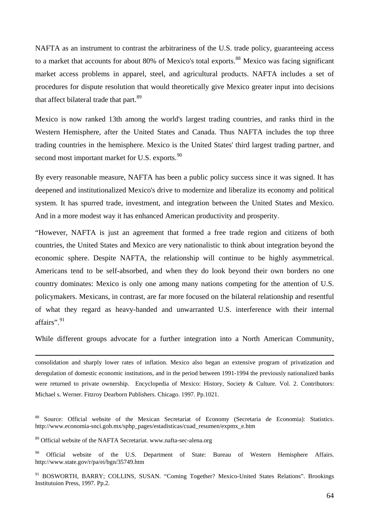NAFTA as an instrument to contrast the arbitrariness of the U.S. trade policy, guaranteeing access to a market that accounts for about 80% of Mexico's total exports.<sup>[88](#page-63-0)</sup> Mexico was facing significant market access problems in apparel, steel, and agricultural products. NAFTA includes a set of procedures for dispute resolution that would theoretically give Mexico greater input into decisions that affect bilateral trade that part.<sup>[89](#page-63-1)</sup>

Mexico is now ranked 13th among the world's largest trading countries, and ranks third in the Western Hemisphere, after the United States and Canada. Thus NAFTA includes the top three trading countries in the hemisphere. Mexico is the United States' third largest trading partner, and second most important market for U.S. exports.<sup>[90](#page-63-2)</sup>

By every reasonable measure, NAFTA has been a public policy success since it was signed. It has deepened and institutionalized Mexico's drive to modernize and liberalize its economy and political system. It has spurred trade, investment, and integration between the United States and Mexico. And in a more modest way it has enhanced American productivity and prosperity.

"However, NAFTA is just an agreement that formed a free trade region and citizens of both countries, the United States and Mexico are very nationalistic to think about integration beyond the economic sphere. Despite NAFTA, the relationship will continue to be highly asymmetrical. Americans tend to be self-absorbed, and when they do look beyond their own borders no one country dominates: Mexico is only one among many nations competing for the attention of U.S. policymakers. Mexicans, in contrast, are far more focused on the bilateral relationship and resentful of what they regard as heavy-handed and unwarranted U.S. interference with their internal affairs".<sup>[91](#page-63-3)</sup>

While different groups advocate for a further integration into a North American Community,

 consolidation and sharply lower rates of inflation. Mexico also began an extensive program of privatization and deregulation of domestic economic institutions, and in the period between 1991-1994 the previously nationalized banks were returned to private ownership. Encyclopedia of Mexico: History, Society & Culture. Vol. 2. Contributors: Michael s. Werner. Fitzroy Dearborn Publishers. Chicago. 1997. Pp.1021.

<span id="page-63-0"></span><sup>88</sup> Source: Official website of the Mexican Secretariat of Economy (Secretaria de Economia): Statistics. http://www.economia-snci.gob.mx/sphp\_pages/estadisticas/cuad\_resumen/expmx\_e.htm

<span id="page-63-1"></span><sup>89</sup> Official website of the NAFTA Secretariat. www.nafta-sec-alena.org

<span id="page-63-2"></span><sup>&</sup>lt;sup>90</sup> Official website of the U.S. Department of State: Bureau of Western Hemisphere Affairs. http://www.state.gov/r/pa/ei/bgn/35749.htm

<span id="page-63-3"></span><sup>&</sup>lt;sup>91</sup> BOSWORTH, BARRY; COLLINS, SUSAN. "Coming Together? Mexico-United States Relations". Brookings Institutuion Press, 1997. Pp.2.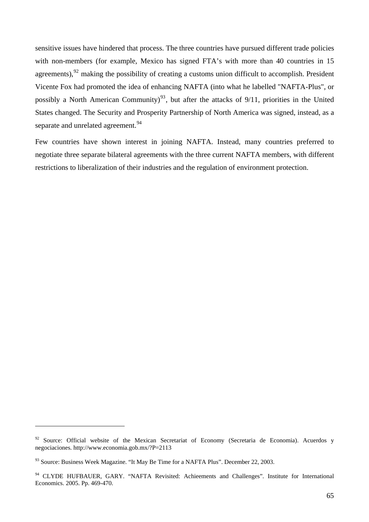sensitive issues have hindered that process. The three countries have pursued different trade policies with non-members (for example, Mexico has signed FTA's with more than 40 countries in 15 agreements),  $92$  making the possibility of creating a customs union difficult to accomplish. President Vicente Fox had promoted the idea of enhancing NAFTA (into what he labelled "NAFTA-Plus", or possibly a North American Community)<sup>[93](#page-64-1)</sup>, but after the attacks of  $9/11$ , priorities in the United States changed. The Security and Prosperity Partnership of North America was signed, instead, as a separate and unrelated agreement.<sup>[94](#page-64-2)</sup>

Few countries have shown interest in joining NAFTA. Instead, many countries preferred to negotiate three separate bilateral agreements with the three current NAFTA members, with different restrictions to liberalization of their industries and the regulation of environment protection.

<span id="page-64-0"></span><sup>&</sup>lt;sup>92</sup> Source: Official website of the Mexican Secretariat of Economy (Secretaria de Economia). Acuerdos y negociaciones. http://www.economia.gob.mx/?P=2113

<span id="page-64-1"></span><sup>93</sup> Source: Business Week Magazine. "It May Be Time for a NAFTA Plus". December 22, 2003.

<span id="page-64-2"></span><sup>&</sup>lt;sup>94</sup> CLYDE HUFBAUER, GARY. "NAFTA Revisited: Achieements and Challenges". Institute for International Economics. 2005. Pp. 469-470.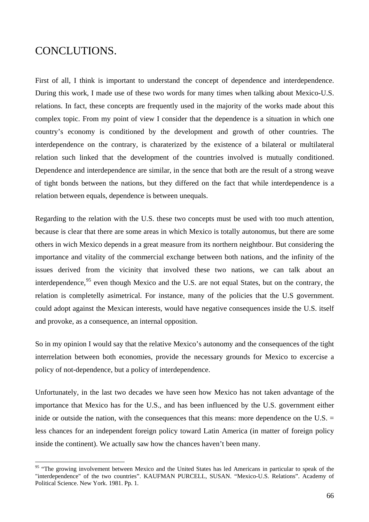### CONCLUTIONS.

 $\overline{a}$ 

First of all, I think is important to understand the concept of dependence and interdependence. During this work, I made use of these two words for many times when talking about Mexico-U.S. relations. In fact, these concepts are frequently used in the majority of the works made about this complex topic. From my point of view I consider that the dependence is a situation in which one country's economy is conditioned by the development and growth of other countries. The interdependence on the contrary, is charaterized by the existence of a bilateral or multilateral relation such linked that the development of the countries involved is mutually conditioned. Dependence and interdependence are similar, in the sence that both are the result of a strong weave of tight bonds between the nations, but they differed on the fact that while interdependence is a relation between equals, dependence is between unequals.

Regarding to the relation with the U.S. these two concepts must be used with too much attention, because is clear that there are some areas in which Mexico is totally autonomus, but there are some others in wich Mexico depends in a great measure from its northern neightbour. But considering the importance and vitality of the commercial exchange between both nations, and the infinity of the issues derived from the vicinity that involved these two nations, we can talk about an interdependence,<sup>[95](#page-65-0)</sup> even though Mexico and the U.S. are not equal States, but on the contrary, the relation is completelly asimetrical. For instance, many of the policies that the U.S government. could adopt against the Mexican interests, would have negative consequences inside the U.S. itself and provoke, as a consequence, an internal opposition.

So in my opinion I would say that the relative Mexico's autonomy and the consequences of the tight interrelation between both economies, provide the necessary grounds for Mexico to excercise a policy of not-dependence, but a policy of interdependence.

Unfortunately, in the last two decades we have seen how Mexico has not taken advantage of the importance that Mexico has for the U.S., and has been influenced by the U.S. government either inide or outside the nation, with the consequences that this means: more dependence on the U.S.  $=$ less chances for an independent foreign policy toward Latin America (in matter of foreign policy inside the continent). We actually saw how the chances haven't been many.

<span id="page-65-0"></span><sup>&</sup>lt;sup>95</sup> "The growing involvement between Mexico and the United States has led Americans in particular to speak of the "interdependence" of the two countries". KAUFMAN PURCELL, SUSAN. "Mexico-U.S. Relations". Academy of Political Science. New York. 1981. Pp. 1.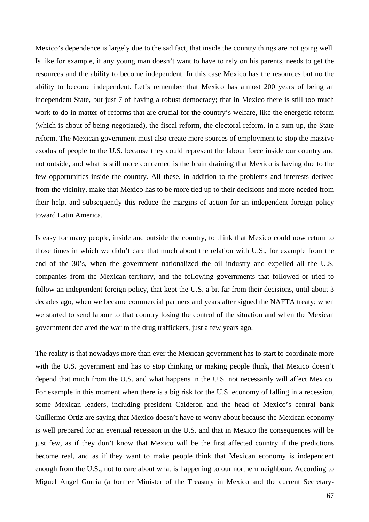Mexico's dependence is largely due to the sad fact, that inside the country things are not going well. Is like for example, if any young man doesn't want to have to rely on his parents, needs to get the resources and the ability to become independent. In this case Mexico has the resources but no the ability to become independent. Let's remember that Mexico has almost 200 years of being an independent State, but just 7 of having a robust democracy; that in Mexico there is still too much work to do in matter of reforms that are crucial for the country's welfare, like the energetic reform (which is about of being negotiated), the fiscal reform, the electoral reform, in a sum up, the State reform. The Mexican government must also create more sources of employment to stop the massive exodus of people to the U.S. because they could represent the labour force inside our country and not outside, and what is still more concerned is the brain draining that Mexico is having due to the few opportunities inside the country. All these, in addition to the problems and interests derived from the vicinity, make that Mexico has to be more tied up to their decisions and more needed from their help, and subsequently this reduce the margins of action for an independent foreign policy toward Latin America.

Is easy for many people, inside and outside the country, to think that Mexico could now return to those times in which we didn't care that much about the relation with U.S., for example from the end of the 30's, when the government nationalized the oil industry and expelled all the U.S. companies from the Mexican territory, and the following governments that followed or tried to follow an independent foreign policy, that kept the U.S. a bit far from their decisions, until about 3 decades ago, when we became commercial partners and years after signed the NAFTA treaty; when we started to send labour to that country losing the control of the situation and when the Mexican government declared the war to the drug traffickers, just a few years ago.

The reality is that nowadays more than ever the Mexican government has to start to coordinate more with the U.S. government and has to stop thinking or making people think, that Mexico doesn't depend that much from the U.S. and what happens in the U.S. not necessarily will affect Mexico. For example in this moment when there is a big risk for the U.S. economy of falling in a recession, some Mexican leaders, including president Calderon and the head of Mexico's central bank Guillermo Ortiz are saying that Mexico doesn't have to worry about because the Mexican economy is well prepared for an eventual recession in the U.S. and that in Mexico the consequences will be just few, as if they don't know that Mexico will be the first affected country if the predictions become real, and as if they want to make people think that Mexican economy is independent enough from the U.S., not to care about what is happening to our northern neighbour. According to Miguel Angel Gurria (a former Minister of the Treasury in Mexico and the current Secretary-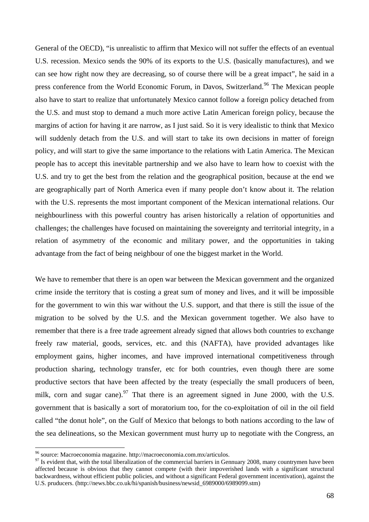General of the OECD), "is unrealistic to affirm that Mexico will not suffer the effects of an eventual U.S. recession. Mexico sends the 90% of its exports to the U.S. (basically manufactures), and we can see how right now they are decreasing, so of course there will be a great impact", he said in a press conference from the World Economic Forum, in Davos, Switzerland.<sup>[96](#page-67-0)</sup> The Mexican people also have to start to realize that unfortunately Mexico cannot follow a foreign policy detached from the U.S. and must stop to demand a much more active Latin American foreign policy, because the margins of action for having it are narrow, as I just said. So it is very idealistic to think that Mexico will suddenly detach from the U.S. and will start to take its own decisions in matter of foreign policy, and will start to give the same importance to the relations with Latin America. The Mexican people has to accept this inevitable partnership and we also have to learn how to coexist with the U.S. and try to get the best from the relation and the geographical position, because at the end we are geographically part of North America even if many people don't know about it. The relation with the U.S. represents the most important component of the Mexican international relations. Our neighbourliness with this powerful country has arisen historically a relation of opportunities and challenges; the challenges have focused on maintaining the sovereignty and territorial integrity, in a relation of asymmetry of the economic and military power, and the opportunities in taking advantage from the fact of being neighbour of one the biggest market in the World.

We have to remember that there is an open war between the Mexican government and the organized crime inside the territory that is costing a great sum of money and lives, and it will be impossible for the government to win this war without the U.S. support, and that there is still the issue of the migration to be solved by the U.S. and the Mexican government together. We also have to remember that there is a free trade agreement already signed that allows both countries to exchange freely raw material, goods, services, etc. and this (NAFTA), have provided advantages like employment gains, higher incomes, and have improved international competitiveness through production sharing, technology transfer, etc for both countries, even though there are some productive sectors that have been affected by the treaty (especially the small producers of been, milk, corn and sugar cane).<sup>[97](#page-67-1)</sup> That there is an agreement signed in June 2000, with the U.S. government that is basically a sort of moratorium too, for the co-exploitation of oil in the oil field called "the donut hole", on the Gulf of Mexico that belongs to both nations according to the law of the sea delineations, so the Mexican government must hurry up to negotiate with the Congress, an

<span id="page-67-0"></span><sup>96</sup> source: Macroeconomia magazine. http://macroeconomia.com.mx/articulos.

<span id="page-67-1"></span> $97$  Is evident that, with the total liberalization of the commercial barriers in Gennuary 2008, many countrymen have been affected because is obvious that they cannot compete (with their impoverished lands with a significant structural backwardness, without efficient public policies, and without a significant Federal government incentivation), against the U.S. pruducers. (http://news.bbc.co.uk/hi/spanish/business/newsid\_6989000/6989099.stm)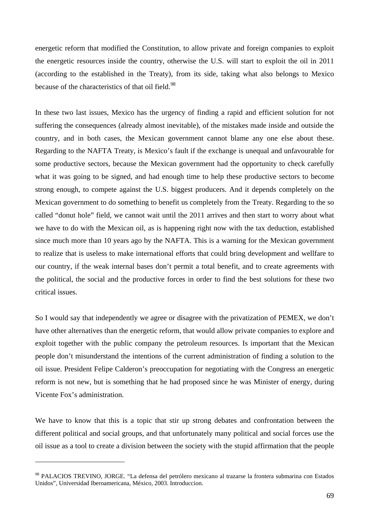energetic reform that modified the Constitution, to allow private and foreign companies to exploit the energetic resources inside the country, otherwise the U.S. will start to exploit the oil in 2011 (according to the established in the Treaty), from its side, taking what also belongs to Mexico because of the characteristics of that oil field.<sup>[98](#page-68-0)</sup>

In these two last issues, Mexico has the urgency of finding a rapid and efficient solution for not suffering the consequences (already almost inevitable), of the mistakes made inside and outside the country, and in both cases, the Mexican government cannot blame any one else about these. Regarding to the NAFTA Treaty, is Mexico's fault if the exchange is unequal and unfavourable for some productive sectors, because the Mexican government had the opportunity to check carefully what it was going to be signed, and had enough time to help these productive sectors to become strong enough, to compete against the U.S. biggest producers. And it depends completely on the Mexican government to do something to benefit us completely from the Treaty. Regarding to the so called "donut hole" field, we cannot wait until the 2011 arrives and then start to worry about what we have to do with the Mexican oil, as is happening right now with the tax deduction, established since much more than 10 years ago by the NAFTA. This is a warning for the Mexican government to realize that is useless to make international efforts that could bring development and wellfare to our country, if the weak internal bases don't permit a total benefit, and to create agreements with the political, the social and the productive forces in order to find the best solutions for these two critical issues.

So I would say that independently we agree or disagree with the privatization of PEMEX, we don't have other alternatives than the energetic reform, that would allow private companies to explore and exploit together with the public company the petroleum resources. Is important that the Mexican people don't misunderstand the intentions of the current administration of finding a solution to the oil issue. President Felipe Calderon's preoccupation for negotiating with the Congress an energetic reform is not new, but is something that he had proposed since he was Minister of energy, during Vicente Fox's administration.

We have to know that this is a topic that stir up strong debates and confrontation between the different political and social groups, and that unfortunately many political and social forces use the oil issue as a tool to create a division between the society with the stupid affirmation that the people

<span id="page-68-0"></span><sup>98</sup> PALACIOS TREVINO, JORGE. "La defensa del petrólero mexicano al trazarse la frontera submarina con Estados Unidos", Universidad Iberoamericana, México, 2003. Introduccion.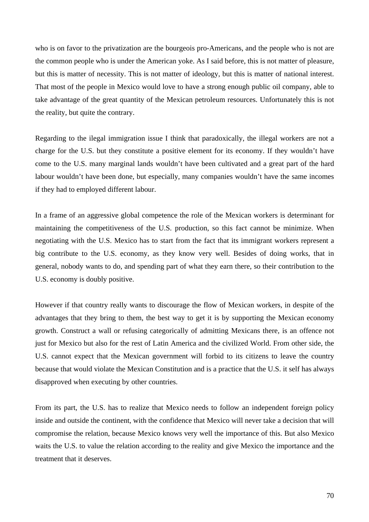who is on favor to the privatization are the bourgeois pro-Americans, and the people who is not are the common people who is under the American yoke. As I said before, this is not matter of pleasure, but this is matter of necessity. This is not matter of ideology, but this is matter of national interest. That most of the people in Mexico would love to have a strong enough public oil company, able to take advantage of the great quantity of the Mexican petroleum resources. Unfortunately this is not the reality, but quite the contrary.

Regarding to the ilegal immigration issue I think that paradoxically, the illegal workers are not a charge for the U.S. but they constitute a positive element for its economy. If they wouldn't have come to the U.S. many marginal lands wouldn't have been cultivated and a great part of the hard labour wouldn't have been done, but especially, many companies wouldn't have the same incomes if they had to employed different labour.

In a frame of an aggressive global competence the role of the Mexican workers is determinant for maintaining the competitiveness of the U.S. production, so this fact cannot be minimize. When negotiating with the U.S. Mexico has to start from the fact that its immigrant workers represent a big contribute to the U.S. economy, as they know very well. Besides of doing works, that in general, nobody wants to do, and spending part of what they earn there, so their contribution to the U.S. economy is doubly positive.

However if that country really wants to discourage the flow of Mexican workers, in despite of the advantages that they bring to them, the best way to get it is by supporting the Mexican economy growth. Construct a wall or refusing categorically of admitting Mexicans there, is an offence not just for Mexico but also for the rest of Latin America and the civilized World. From other side, the U.S. cannot expect that the Mexican government will forbid to its citizens to leave the country because that would violate the Mexican Constitution and is a practice that the U.S. it self has always disapproved when executing by other countries.

From its part, the U.S. has to realize that Mexico needs to follow an independent foreign policy inside and outside the continent, with the confidence that Mexico will never take a decision that will compromise the relation, because Mexico knows very well the importance of this. But also Mexico waits the U.S. to value the relation according to the reality and give Mexico the importance and the treatment that it deserves.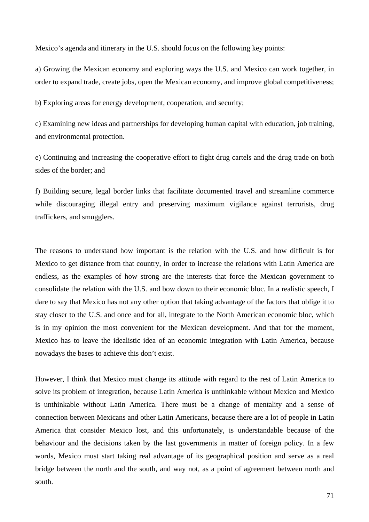Mexico's agenda and itinerary in the U.S. should focus on the following key points:

a) Growing the Mexican economy and exploring ways the U.S. and Mexico can work together, in order to expand trade, create jobs, open the Mexican economy, and improve global competitiveness;

b) Exploring areas for energy development, cooperation, and security;

c) Examining new ideas and partnerships for developing human capital with education, job training, and environmental protection.

e) Continuing and increasing the cooperative effort to fight drug cartels and the drug trade on both sides of the border; and

f) Building secure, legal border links that facilitate documented travel and streamline commerce while discouraging illegal entry and preserving maximum vigilance against terrorists, drug traffickers, and smugglers.

The reasons to understand how important is the relation with the U.S. and how difficult is for Mexico to get distance from that country, in order to increase the relations with Latin America are endless, as the examples of how strong are the interests that force the Mexican government to consolidate the relation with the U.S. and bow down to their economic bloc. In a realistic speech, I dare to say that Mexico has not any other option that taking advantage of the factors that oblige it to stay closer to the U.S. and once and for all, integrate to the North American economic bloc, which is in my opinion the most convenient for the Mexican development. And that for the moment, Mexico has to leave the idealistic idea of an economic integration with Latin America, because nowadays the bases to achieve this don't exist.

However, I think that Mexico must change its attitude with regard to the rest of Latin America to solve its problem of integration, because Latin America is unthinkable without Mexico and Mexico is unthinkable without Latin America. There must be a change of mentality and a sense of connection between Mexicans and other Latin Americans, because there are a lot of people in Latin America that consider Mexico lost, and this unfortunately, is understandable because of the behaviour and the decisions taken by the last governments in matter of foreign policy. In a few words, Mexico must start taking real advantage of its geographical position and serve as a real bridge between the north and the south, and way not, as a point of agreement between north and south.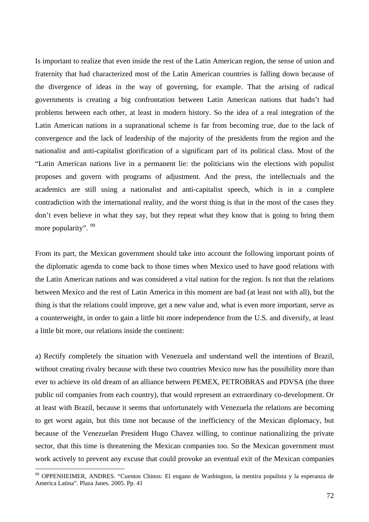Is important to realize that even inside the rest of the Latin American region, the sense of union and fraternity that had characterized most of the Latin American countries is falling down because of the divergence of ideas in the way of governing, for example. That the arising of radical governments is creating a big confrontation between Latin American nations that hadn't had problems between each other, at least in modern history. So the idea of a real integration of the Latin American nations in a supranational scheme is far from becoming true, due to the lack of convergence and the lack of leadership of the majority of the presidents from the region and the nationalist and anti-capitalist glorification of a significant part of its political class. Most of the "Latin American nations live in a permanent lie: the politicians win the elections with populist proposes and govern with programs of adjustment. And the press, the intellectuals and the academics are still using a nationalist and anti-capitalist speech, which is in a complete contradiction with the international reality, and the worst thing is that in the most of the cases they don't even believe in what they say, but they repeat what they know that is going to bring them more popularity". <sup>[99](#page-71-0)</sup>

From its part, the Mexican government should take into account the following important points of the diplomatic agenda to come back to those times when Mexico used to have good relations with the Latin American nations and was considered a vital nation for the region. Is not that the relations between Mexico and the rest of Latin America in this moment are bad (at least not with all), but the thing is that the relations could improve, get a new value and, what is even more important, serve as a counterweight, in order to gain a little bit more independence from the U.S. and diversify, at least a little bit more, our relations inside the continent:

a) Rectify completely the situation with Venezuela and understand well the intentions of Brazil, without creating rivalry because with these two countries Mexico now has the possibility more than ever to achieve its old dream of an alliance between PEMEX, PETROBRAS and PDVSA (the three public oil companies from each country), that would represent an extraordinary co-development. Or at least with Brazil, because it seems that unfortunately with Venezuela the relations are becoming to get worst again, but this time not because of the inefficiency of the Mexican diplomacy, but because of the Venezuelan President Hugo Chavez willing, to continue nationalizing the private sector, that this time is threatening the Mexican companies too. So the Mexican government must work actively to prevent any excuse that could provoke an eventual exit of the Mexican companies

<span id="page-71-0"></span><sup>&</sup>lt;sup>99</sup> OPPENHEIMER, ANDRES. "Cuentos Chinos: El engano de Washington, la mentira populista y la esperanza de America Latina". Plaza Janes. 2005. Pp. 41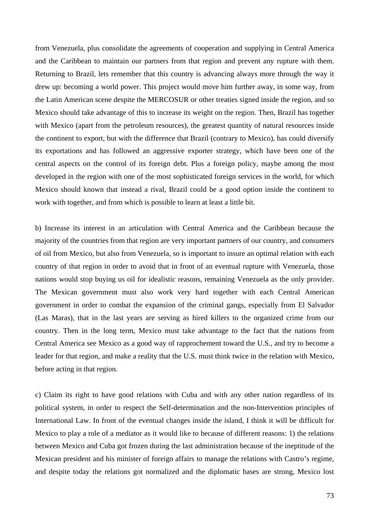from Venezuela, plus consolidate the agreements of cooperation and supplying in Central America and the Caribbean to maintain our partners from that region and prevent any rupture with them. Returning to Brazil, lets remember that this country is advancing always more through the way it drew up: becoming a world power. This project would move him further away, in some way, from the Latin American scene despite the MERCOSUR or other treaties signed inside the region, and so Mexico should take advantage of this to increase its weight on the region. Then, Brazil has together with Mexico (apart from the petroleum resources), the greatest quantity of natural resources inside the continent to export, but with the difference that Brazil (contrary to Mexico), has could diversify its exportations and has followed an aggressive exporter strategy, which have been one of the central aspects on the control of its foreign debt. Plus a foreign policy, maybe among the most developed in the region with one of the most sophisticated foreign services in the world, for which Mexico should known that instead a rival, Brazil could be a good option inside the continent to work with together, and from which is possible to learn at least a little bit.

b) Increase its interest in an articulation with Central America and the Caribbean because the majority of the countries from that region are very important partners of our country, and consumers of oil from Mexico, but also from Venezuela, so is important to insure an optimal relation with each country of that region in order to avoid that in front of an eventual rupture with Venezuela, those nations would stop buying us oil for idealistic reasons, remaining Venezuela as the only provider. The Mexican government must also work very hard together with each Central American government in order to combat the expansion of the criminal gangs, especially from El Salvador (Las Maras), that in the last years are serving as hired killers to the organized crime from our country. Then in the long term, Mexico must take advantage to the fact that the nations from Central America see Mexico as a good way of rapprochement toward the U.S., and try to become a leader for that region, and make a reality that the U.S. must think twice in the relation with Mexico, before acting in that region.

c) Claim its right to have good relations with Cuba and with any other nation regardless of its political system, in order to respect the Self-determination and the non-Intervention principles of International Law. In front of the eventual changes inside the island, I think it will be difficult for Mexico to play a role of a mediator as it would like to because of different reasons: 1) the relations between Mexico and Cuba got frozen during the last administration because of the ineptitude of the Mexican president and his minister of foreign affairs to manage the relations with Castro's regime, and despite today the relations got normalized and the diplomatic bases are strong, Mexico lost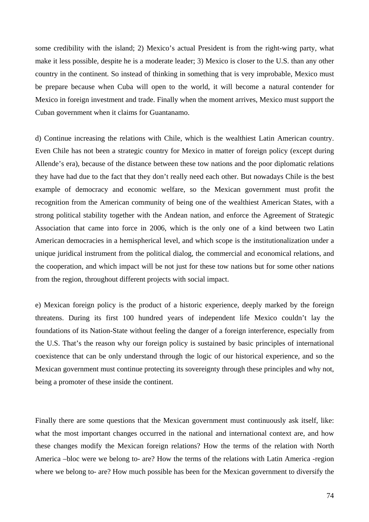some credibility with the island; 2) Mexico's actual President is from the right-wing party, what make it less possible, despite he is a moderate leader; 3) Mexico is closer to the U.S. than any other country in the continent. So instead of thinking in something that is very improbable, Mexico must be prepare because when Cuba will open to the world, it will become a natural contender for Mexico in foreign investment and trade. Finally when the moment arrives, Mexico must support the Cuban government when it claims for Guantanamo.

d) Continue increasing the relations with Chile, which is the wealthiest Latin American country. Even Chile has not been a strategic country for Mexico in matter of foreign policy (except during Allende's era), because of the distance between these tow nations and the poor diplomatic relations they have had due to the fact that they don't really need each other. But nowadays Chile is the best example of democracy and economic welfare, so the Mexican government must profit the recognition from the American community of being one of the wealthiest American States, with a strong political stability together with the Andean nation, and enforce the Agreement of Strategic Association that came into force in 2006, which is the only one of a kind between two Latin American democracies in a hemispherical level, and which scope is the institutionalization under a unique juridical instrument from the political dialog, the commercial and economical relations, and the cooperation, and which impact will be not just for these tow nations but for some other nations from the region, throughout different projects with social impact.

e) Mexican foreign policy is the product of a historic experience, deeply marked by the foreign threatens. During its first 100 hundred years of independent life Mexico couldn't lay the foundations of its Nation-State without feeling the danger of a foreign interference, especially from the U.S. That's the reason why our foreign policy is sustained by basic principles of international coexistence that can be only understand through the logic of our historical experience, and so the Mexican government must continue protecting its sovereignty through these principles and why not, being a promoter of these inside the continent.

Finally there are some questions that the Mexican government must continuously ask itself, like: what the most important changes occurred in the national and international context are, and how these changes modify the Mexican foreign relations? How the terms of the relation with North America –bloc were we belong to- are? How the terms of the relations with Latin America -region where we belong to- are? How much possible has been for the Mexican government to diversify the